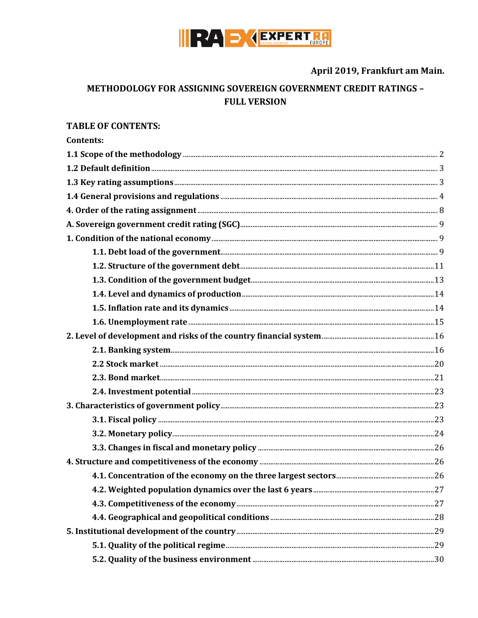

April 2019, Frankfurt am Main.

# METHODOLOGY FOR ASSIGNING SOVEREIGN GOVERNMENT CREDIT RATINGS -**FULL VERSION**

#### **TABLE OF CONTENTS:**

| <b>Contents:</b> |  |
|------------------|--|
|                  |  |
|                  |  |
|                  |  |
|                  |  |
|                  |  |
|                  |  |
|                  |  |
|                  |  |
|                  |  |
|                  |  |
|                  |  |
|                  |  |
|                  |  |
|                  |  |
|                  |  |
|                  |  |
|                  |  |
|                  |  |
|                  |  |
|                  |  |
|                  |  |
|                  |  |
|                  |  |
|                  |  |
|                  |  |
|                  |  |
|                  |  |
|                  |  |
|                  |  |
|                  |  |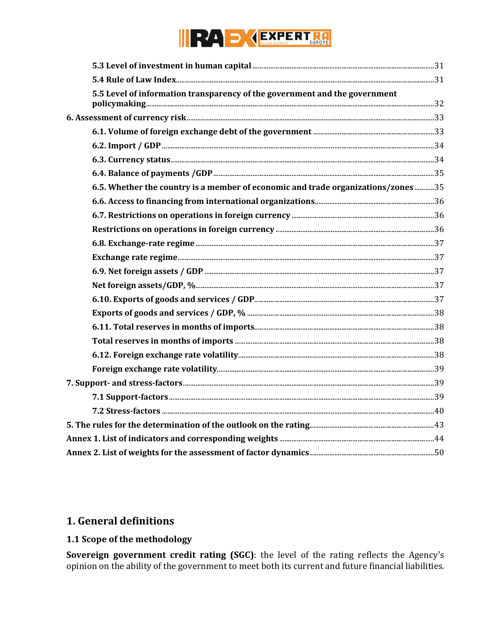# NEW D CEXPERTE

| 5.5 Level of information transparency of the government and the government       |  |
|----------------------------------------------------------------------------------|--|
|                                                                                  |  |
|                                                                                  |  |
|                                                                                  |  |
|                                                                                  |  |
|                                                                                  |  |
| 6.5. Whether the country is a member of economic and trade organizations/zones35 |  |
|                                                                                  |  |
|                                                                                  |  |
|                                                                                  |  |
|                                                                                  |  |
|                                                                                  |  |
|                                                                                  |  |
|                                                                                  |  |
|                                                                                  |  |
|                                                                                  |  |
|                                                                                  |  |
|                                                                                  |  |
|                                                                                  |  |
|                                                                                  |  |
|                                                                                  |  |
|                                                                                  |  |
|                                                                                  |  |
|                                                                                  |  |
|                                                                                  |  |
|                                                                                  |  |

# 1. General definitions

# <span id="page-1-0"></span>1.1 Scope of the methodology

Sovereign government credit rating (SGC): the level of the rating reflects the Agency's opinion on the ability of the government to meet both its current and future financial liabilities.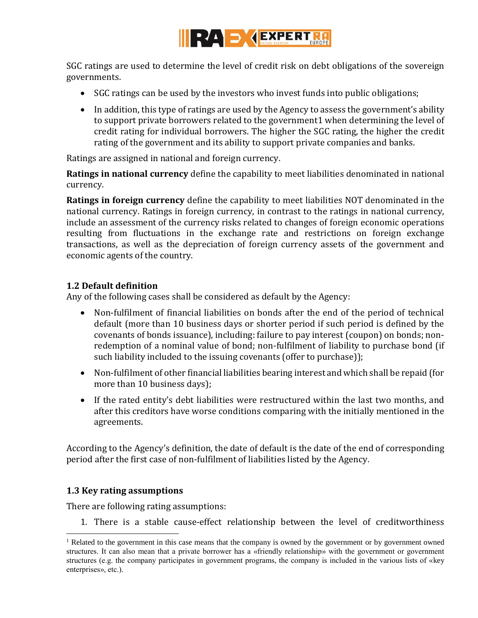

SGC ratings are used to determine the level of credit risk on debt obligations of the sovereign governments.

- SGC ratings can be used by the investors who invest funds into public obligations;
- In addition, this type of ratings are used by the Agency to assess the government's ability to support private borrowers related to the government1 when determining the level of credit rating for individual borrowers. The higher the SGC rating, the higher the credit rating of the government and its ability to support private companies and banks.

Ratings are assigned in national and foreign currency.

**Ratings in national currency** define the capability to meet liabilities denominated in national currency.

**Ratings in foreign currency** define the capability to meet liabilities NOT denominated in the national currency. Ratings in foreign currency, in contrast to the ratings in national currency, include an assessment of the currency risks related to changes of foreign economic operations resulting from fluctuations in the exchange rate and restrictions on foreign exchange transactions, as well as the depreciation of foreign currency assets of the government and economic agents of the country.

#### <span id="page-2-0"></span>**1.2 Default definition**

Any of the following cases shall be considered as default by the Agency:

- Non-fulfilment of financial liabilities on bonds after the end of the period of technical default (more than 10 business days or shorter period if such period is defined by the covenants of bonds issuance), including: failure to pay interest (coupon) on bonds; nonredemption of a nominal value of bond; non-fulfilment of liability to purchase bond (if such liability included to the issuing covenants (offer to purchase));
- Non-fulfilment of other financial liabilities bearing interest and which shall be repaid (for more than 10 business days);
- If the rated entity's debt liabilities were restructured within the last two months, and after this creditors have worse conditions comparing with the initially mentioned in the agreements.

According to the Agency's definition, the date of default is the date of the end of corresponding period after the first case of non-fulfilment of liabilities listed by the Agency.

# <span id="page-2-1"></span>**1.3 Key rating assumptions**

 $\overline{a}$ 

There are following rating assumptions:

1. There is a stable cause-effect relationship between the level of creditworthiness

<sup>&</sup>lt;sup>1</sup> Related to the government in this case means that the company is owned by the government or by government owned structures. It can also mean that a private borrower has a «friendly relationship» with the government or government structures (e.g. the company participates in government programs, the company is included in the various lists of «key enterprises», etc.).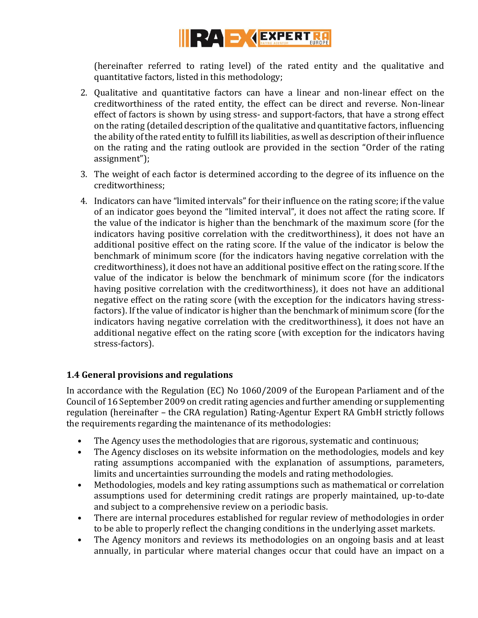

(hereinafter referred to rating level) of the rated entity and the qualitative and quantitative factors, listed in this methodology;

- 2. Qualitative and quantitative factors can have a linear and non-linear effect on the creditworthiness of the rated entity, the effect can be direct and reverse. Non-linear effect of factors is shown by using stress- and support-factors, that have a strong effect on the rating (detailed description of the qualitative and quantitative factors, influencing the ability of the rated entity to fulfill its liabilities, as well as description of their influence on the rating and the rating outlook are provided in the section "Order of the rating assignment");
- 3. The weight of each factor is determined according to the degree of its influence on the creditworthiness;
- 4. Indicators can have "limited intervals" for their influence on the rating score; if the value of an indicator goes beyond the "limited interval", it does not affect the rating score. If the value of the indicator is higher than the benchmark of the maximum score (for the indicators having positive correlation with the creditworthiness), it does not have an additional positive effect on the rating score. If the value of the indicator is below the benchmark of minimum score (for the indicators having negative correlation with the creditworthiness), it does not have an additional positive effect on the rating score. If the value of the indicator is below the benchmark of minimum score (for the indicators having positive correlation with the creditworthiness), it does not have an additional negative effect on the rating score (with the exception for the indicators having stressfactors). If the value of indicator is higher than the benchmark of minimum score (for the indicators having negative correlation with the creditworthiness), it does not have an additional negative effect on the rating score (with exception for the indicators having stress-factors).

# <span id="page-3-0"></span>**1.4 General provisions and regulations**

In accordance with the Regulation (EC) No 1060/2009 of the European Parliament and of the Council of 16 September 2009 on credit rating agencies and further amending or supplementing regulation (hereinafter – the CRA regulation) Rating-Agentur Expert RA GmbH strictly follows the requirements regarding the maintenance of its methodologies:

- The Agency uses the methodologies that are rigorous, systematic and continuous;
- The Agency discloses on its website information on the methodologies, models and key rating assumptions accompanied with the explanation of assumptions, parameters, limits and uncertainties surrounding the models and rating methodologies.
- Methodologies, models and key rating assumptions such as mathematical or correlation assumptions used for determining credit ratings are properly maintained, up-to-date and subject to a comprehensive review on a periodic basis.
- There are internal procedures established for regular review of methodologies in order to be able to properly reflect the changing conditions in the underlying asset markets.
- The Agency monitors and reviews its methodologies on an ongoing basis and at least annually, in particular where material changes occur that could have an impact on a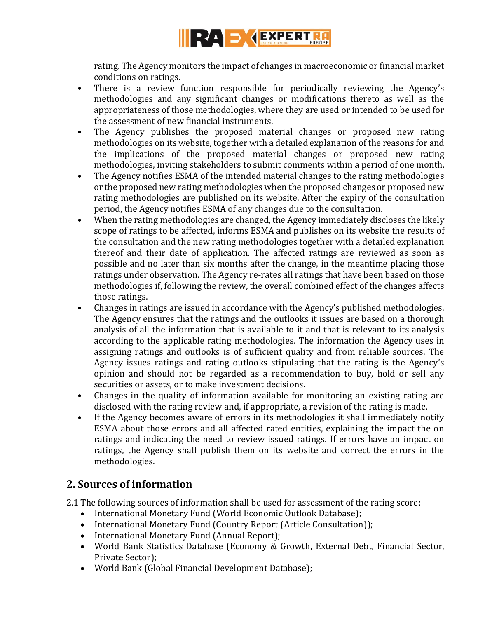

rating. The Agency monitors the impact of changes in macroeconomic or financial market conditions on ratings.

- There is a review function responsible for periodically reviewing the Agency's methodologies and any significant changes or modifications thereto as well as the appropriateness of those methodologies, where they are used or intended to be used for the assessment of new financial instruments.
- The Agency publishes the proposed material changes or proposed new rating methodologies on its website, together with a detailed explanation of the reasons for and the implications of the proposed material changes or proposed new rating methodologies, inviting stakeholders to submit comments within a period of one month.
- The Agency notifies ESMA of the intended material changes to the rating methodologies or the proposed new rating methodologies when the proposed changes or proposed new rating methodologies are published on its website. After the expiry of the consultation period, the Agency notifies ESMA of any changes due to the consultation.
- When the rating methodologies are changed, the Agency immediately discloses the likely scope of ratings to be affected, informs ESMA and publishes on its website the results of the consultation and the new rating methodologies together with a detailed explanation thereof and their date of application. The affected ratings are reviewed as soon as possible and no later than six months after the change, in the meantime placing those ratings under observation. The Agency re-rates all ratings that have been based on those methodologies if, following the review, the overall combined effect of the changes affects those ratings.
- Changes in ratings are issued in accordance with the Agency's published methodologies. The Agency ensures that the ratings and the outlooks it issues are based on a thorough analysis of all the information that is available to it and that is relevant to its analysis according to the applicable rating methodologies. The information the Agency uses in assigning ratings and outlooks is of sufficient quality and from reliable sources. The Agency issues ratings and rating outlooks stipulating that the rating is the Agency's opinion and should not be regarded as a recommendation to buy, hold or sell any securities or assets, or to make investment decisions.
- Changes in the quality of information available for monitoring an existing rating are disclosed with the rating review and, if appropriate, a revision of the rating is made.
- If the Agency becomes aware of errors in its methodologies it shall immediately notify ESMA about those errors and all affected rated entities, explaining the impact the on ratings and indicating the need to review issued ratings. If errors have an impact on ratings, the Agency shall publish them on its website and correct the errors in the methodologies.

# **2. Sources of information**

2.1 The following sources of information shall be used for assessment of the rating score:

- International Monetary Fund (World Economic Outlook Database);
- International Monetary Fund (Country Report (Article Consultation));
- International Monetary Fund (Annual Report);
- World Bank Statistics Database (Economy & Growth, External Debt, Financial Sector, Private Sector);
- World Bank (Global Financial Development Database);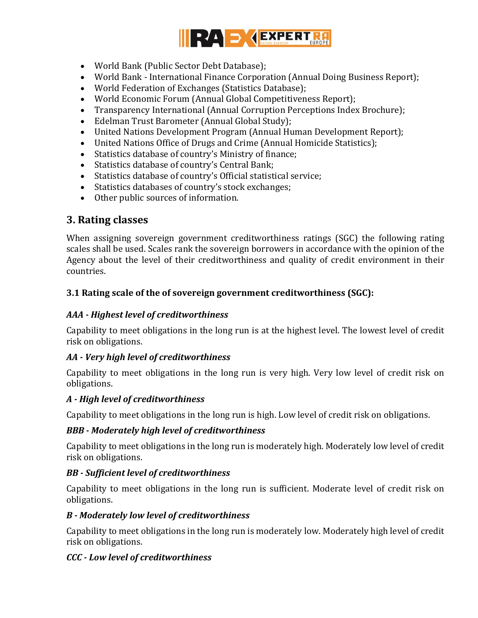

- World Bank (Public Sector Debt Database);
- World Bank International Finance Corporation (Annual Doing Business Report);
- World Federation of Exchanges (Statistics Database);
- World Economic Forum (Annual Global Competitiveness Report);
- Transparency International (Annual Corruption Perceptions Index Brochure);
- Edelman Trust Barometer (Annual Global Study);
- United Nations Development Program (Annual Human Development Report);
- United Nations Office of Drugs and Crime (Annual Homicide Statistics);
- Statistics database of country's Ministry of finance;
- Statistics database of country's Central Bank;
- Statistics database of country's Official statistical service;
- Statistics databases of country's stock exchanges;
- Other public sources of information.

# **3. Rating classes**

When assigning sovereign government creditworthiness ratings (SGC) the following rating scales shall be used. Scales rank the sovereign borrowers in accordance with the opinion of the Agency about the level of their creditworthiness and quality of credit environment in their countries.

# **3.1 Rating scale of the of sovereign government creditworthiness (SGC):**

# *AAA - Highest level of creditworthiness*

Capability to meet obligations in the long run is at the highest level. The lowest level of credit risk on obligations.

# *AA - Very high level of creditworthiness*

Capability to meet obligations in the long run is very high. Very low level of credit risk on obligations.

# *A - High level of creditworthiness*

Capability to meet obligations in the long run is high. Low level of credit risk on obligations.

# *BBB - Moderately high level of creditworthiness*

Capability to meet obligations in the long run is moderately high. Moderately low level of credit risk on obligations.

# *BB - Sufficient level of creditworthiness*

Capability to meet obligations in the long run is sufficient. Moderate level of credit risk on obligations.

# *B - Moderately low level of creditworthiness*

Capability to meet obligations in the long run is moderately low. Moderately high level of credit risk on obligations.

# *CCC - Low level of creditworthiness*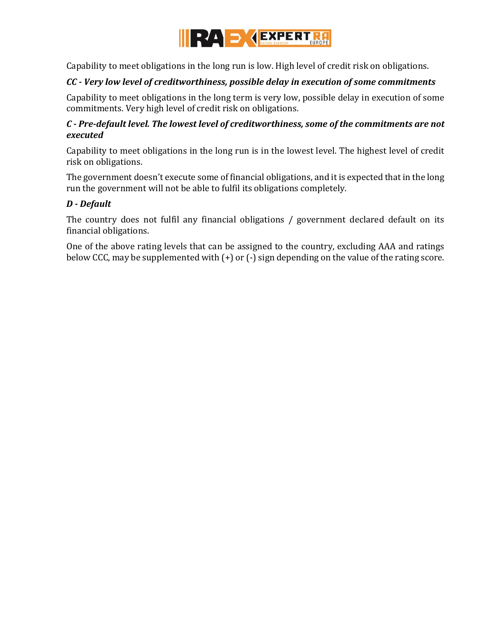

Capability to meet obligations in the long run is low. High level of credit risk on obligations.

#### *CC - Very low level of creditworthiness, possible delay in execution of some commitments*

Capability to meet obligations in the long term is very low, possible delay in execution of some commitments. Very high level of credit risk on obligations.

#### *C - Pre-default level. The lowest level of creditworthiness, some of the commitments are not executed*

Capability to meet obligations in the long run is in the lowest level. The highest level of credit risk on obligations.

The government doesn't execute some of financial obligations, and it is expected that in the long run the government will not be able to fulfil its obligations completely.

#### *D - Default*

The country does not fulfil any financial obligations / government declared default on its financial obligations.

One of the above rating levels that can be assigned to the country, excluding AAA and ratings below CCC, may be supplemented with (+) or (-) sign depending on the value of the rating score.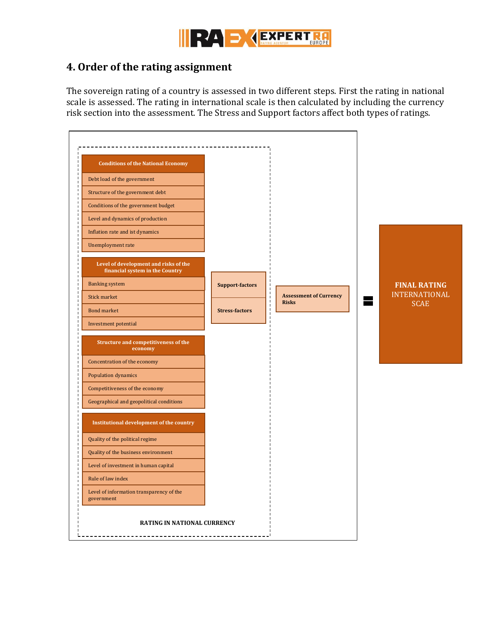

# <span id="page-7-0"></span>**4. Order of the rating assignment**

The sovereign rating of a country is assessed in two different steps. First the rating in national scale is assessed. The rating in international scale is then calculated by including the currency risk section into the assessment. The Stress and Support factors affect both types of ratings.

| Institutional development of the country<br>Quality of the political regime<br>Quality of the business environment<br>Level of investment in human capital | <b>Conditions of the National Economy</b><br>Debt load of the government<br>Structure of the government debt<br>Conditions of the government budget<br>Level and dynamics of production<br>Inflation rate and ist dynamics<br>Unemployment rate<br>Level of development and risks of the<br>financial system in the Country<br><b>Banking system</b><br>Stick market<br><b>Bond market</b><br>Investment potential<br>Structure and competitiveness of the<br>economy<br>Concentration of the economy<br>Population dynamics<br>Competitiveness of the economy<br>Geographical and geopolitical conditions | <b>Support-factors</b><br><b>Stress-factors</b> | п<br><b>Assessment of Currency</b><br>$\mathbf{I}$<br>$\mathbf{I}$<br><b>Risks</b><br>$\blacksquare$<br>ı | <b>FINAL RATING</b><br><b>INTERNATIONAL</b><br><b>SCAE</b> |
|------------------------------------------------------------------------------------------------------------------------------------------------------------|------------------------------------------------------------------------------------------------------------------------------------------------------------------------------------------------------------------------------------------------------------------------------------------------------------------------------------------------------------------------------------------------------------------------------------------------------------------------------------------------------------------------------------------------------------------------------------------------------------|-------------------------------------------------|-----------------------------------------------------------------------------------------------------------|------------------------------------------------------------|
| Rule of law index<br>Level of information transparency of the<br>government                                                                                |                                                                                                                                                                                                                                                                                                                                                                                                                                                                                                                                                                                                            |                                                 |                                                                                                           |                                                            |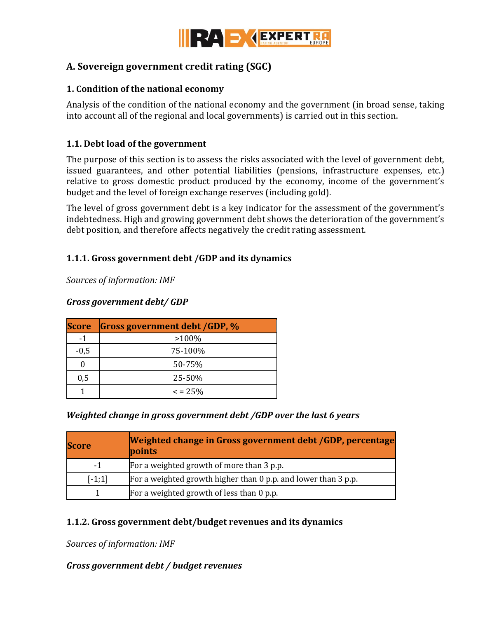

# <span id="page-8-0"></span>**A. Sovereign government credit rating (SGC)**

#### <span id="page-8-1"></span>**1. Condition of the national economy**

Analysis of the condition of the national economy and the government (in broad sense, taking into account all of the regional and local governments) is carried out in this section.

# <span id="page-8-2"></span>**1.1. Debt load of the government**

The purpose of this section is to assess the risks associated with the level of government debt, issued guarantees, and other potential liabilities (pensions, infrastructure expenses, etc.) relative to gross domestic product produced by the economy, income of the government's budget and the level of foreign exchange reserves (including gold).

The level of gross government debt is a key indicator for the assessment of the government's indebtedness. High and growing government debt shows the deterioration of the government's debt position, and therefore affects negatively the credit rating assessment.

#### **1.1.1. Gross government debt /GDP and its dynamics**

*Sources of information: IMF* 

#### *Gross government debt/ GDP*

| <b>Score</b> | <b>Gross government debt GDP, %</b> |
|--------------|-------------------------------------|
| -1           | $>100\%$                            |
| $-0,5$       | 75-100%                             |
|              | 50-75%                              |
| 0,5          | 25-50%                              |
|              | $\epsilon$ = 2.5%                   |

#### *Weighted change in gross government debt /GDP over the last 6 years*

| <b>Score</b> | Weighted change in Gross government debt /GDP, percentage<br>points |
|--------------|---------------------------------------------------------------------|
| $-1$         | For a weighted growth of more than 3 p.p.                           |
| $[-1;1]$     | For a weighted growth higher than 0 p.p. and lower than 3 p.p.      |
|              | For a weighted growth of less than 0 p.p.                           |

#### **1.1.2. Gross government debt/budget revenues and its dynamics**

*Sources of information: IMF*

#### *Gross government debt / budget revenues*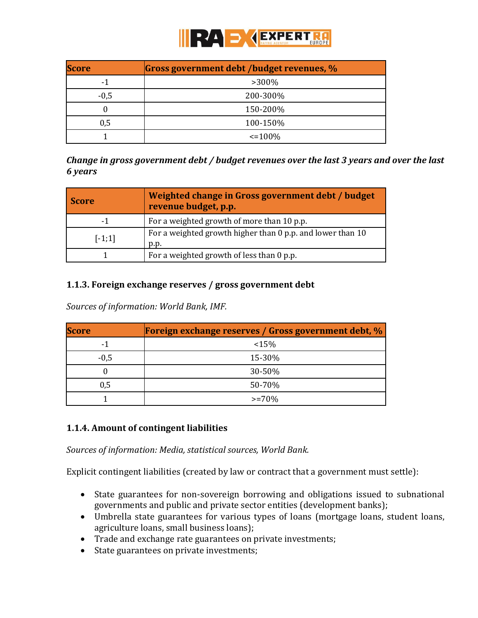

| <b>Score</b> | Gross government debt /budget revenues, % |  |  |
|--------------|-------------------------------------------|--|--|
| - 1          | $>300\%$                                  |  |  |
| $-0,5$       | 200-300%                                  |  |  |
|              | 150-200%                                  |  |  |
| 0,5          | 100-150%                                  |  |  |
|              | $\leq 100\%$                              |  |  |

*Change in gross government debt / budget revenues over the last 3 years and over the last 6 years*

| <b>Score</b> | Weighted change in Gross government debt / budget<br>revenue budget, p.p. |
|--------------|---------------------------------------------------------------------------|
| -1           | For a weighted growth of more than 10 p.p.                                |
| $[-1;1]$     | For a weighted growth higher than 0 p.p. and lower than 10<br>p.p.        |
|              | For a weighted growth of less than 0 p.p.                                 |

#### **1.1.3. Foreign exchange reserves / gross government debt**

*Sources of information: World Bank, IMF.*

| <b>Score</b> | <b>Foreign exchange reserves / Gross government debt, %</b> |
|--------------|-------------------------------------------------------------|
| - 1          | $15\%$                                                      |
| $-0,5$       | 15-30%                                                      |
|              | $30 - 50\%$                                                 |
| 0,5          | 50-70%                                                      |
|              | $>= 70%$                                                    |

#### **1.1.4. Amount of contingent liabilities**

*Sources of information: Media, statistical sources, World Bank.*

Explicit contingent liabilities (created by law or contract that a government must settle):

- State guarantees for non-sovereign borrowing and obligations issued to subnational governments and public and private sector entities (development banks);
- Umbrella state guarantees for various types of loans (mortgage loans, student loans, agriculture loans, small business loans);
- Trade and exchange rate guarantees on private investments;
- State guarantees on private investments;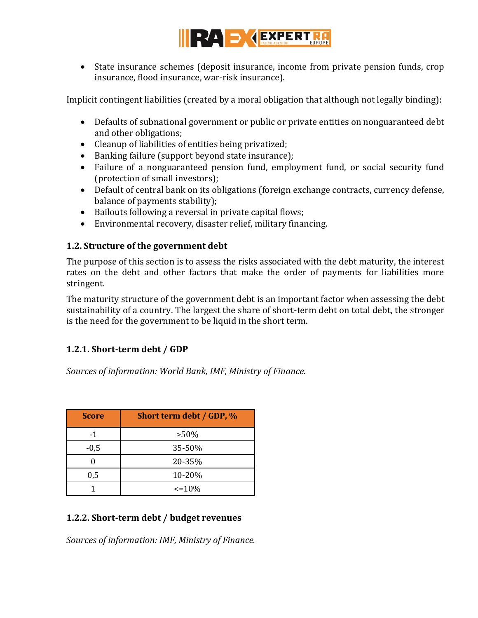

 State insurance schemes (deposit insurance, income from private pension funds, crop insurance, flood insurance, war-risk insurance).

Implicit contingent liabilities (created by a moral obligation that although not legally binding):

- Defaults of subnational government or public or private entities on nonguaranteed debt and other obligations;
- Cleanup of liabilities of entities being privatized;
- Banking failure (support beyond state insurance);
- Failure of a nonguaranteed pension fund, employment fund, or social security fund (protection of small investors);
- Default of central bank on its obligations (foreign exchange contracts, currency defense, balance of payments stability);
- Bailouts following a reversal in private capital flows;
- Environmental recovery, disaster relief, military financing.

# <span id="page-10-0"></span>**1.2. Structure of the government debt**

The purpose of this section is to assess the risks associated with the debt maturity, the interest rates on the debt and other factors that make the order of payments for liabilities more stringent.

The maturity structure of the government debt is an important factor when assessing the debt sustainability of a country. The largest the share of short-term debt on total debt, the stronger is the need for the government to be liquid in the short term.

# **1.2.1. Short-term debt / GDP**

*Sources of information: World Bank, IMF, Ministry of Finance.*

| <b>Score</b> | Short term debt / GDP, % |
|--------------|--------------------------|
| $-1$         | $>50\%$                  |
| $-0,5$       | 35-50%                   |
|              | 20-35%                   |
| 0,5          | 10-20%                   |
|              | $\leq$ = 10%             |

# **1.2.2. Short-term debt / budget revenues**

*Sources of information: IMF, Ministry of Finance.*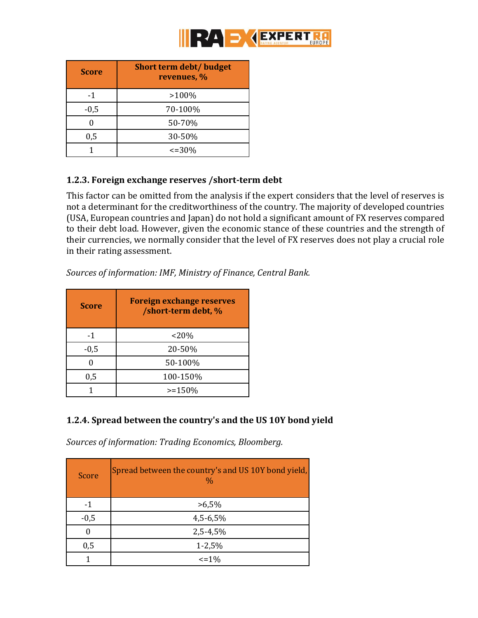

| <b>Score</b> | <b>Short term debt/ budget</b><br>revenues, % |
|--------------|-----------------------------------------------|
| -1           | $>100\%$                                      |
| $-0,5$       | 70-100%                                       |
|              | 50-70%                                        |
| 0,5          | 30-50%                                        |
|              | $\leq$ = 30%                                  |

# **1.2.3. Foreign exchange reserves /short-term debt**

This factor can be omitted from the analysis if the expert considers that the level of reserves is not a determinant for the creditworthiness of the country. The majority of developed countries (USA, European countries and Japan) do not hold a significant amount of FX reserves compared to their debt load. However, given the economic stance of these countries and the strength of their currencies, we normally consider that the level of FX reserves does not play a crucial role in their rating assessment.

| <b>Score</b> | <b>Foreign exchange reserves</b><br>/short-term debt, % |
|--------------|---------------------------------------------------------|
| -1           | $< 20\%$                                                |
| $-0,5$       | 20-50%                                                  |
|              | 50-100%                                                 |
| 0,5          | 100-150%                                                |
|              | $>=150%$                                                |

*Sources of information: IMF, Ministry of Finance, Central Bank.*

# **1.2.4. Spread between the country's and the US 10Y bond yield**

*Sources of information: Trading Economics, Bloomberg.* 

| Score  | Spread between the country's and US 10Y bond yield,<br>$\frac{0}{0}$ |
|--------|----------------------------------------------------------------------|
| -1     | $>6,5\%$                                                             |
| $-0,5$ | $4,5-6,5%$                                                           |
| ∩      | 2,5-4,5%                                                             |
| 0,5    | $1 - 2,5%$                                                           |
|        | $\leq$ = 1%                                                          |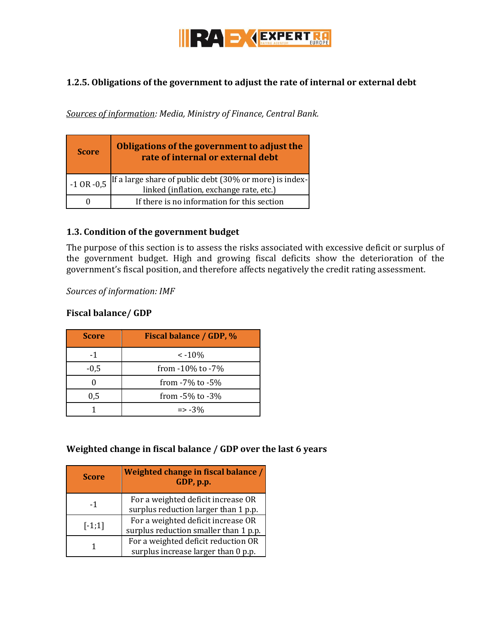

#### **1.2.5. Obligations of the government to adjust the rate of internal or external debt**

*Sources of information: Media, Ministry of Finance, Central Bank.* 

| <b>Score</b>   | Obligations of the government to adjust the<br>rate of internal or external debt                   |
|----------------|----------------------------------------------------------------------------------------------------|
| $-1$ OR $-0.5$ | If a large share of public debt (30% or more) is index-<br>linked (inflation, exchange rate, etc.) |
|                | If there is no information for this section                                                        |

#### <span id="page-12-0"></span>**1.3. Condition of the government budget**

The purpose of this section is to assess the risks associated with excessive deficit or surplus of the government budget. High and growing fiscal deficits show the deterioration of the government's fiscal position, and therefore affects negatively the credit rating assessment.

*Sources of information: IMF*

#### **Fiscal balance/ GDP**

| <b>Score</b> | <b>Fiscal balance / GDP, %</b> |
|--------------|--------------------------------|
| $-1$         | $\leq -10\%$                   |
| $-0.5$       | from -10% to -7%               |
|              | from $-7\%$ to $-5\%$          |
| 0,5          | from $-5\%$ to $-3\%$          |
|              | $\Rightarrow -3\%$             |

#### **Weighted change in fiscal balance / GDP over the last 6 years**

| <b>Score</b> | Weighted change in fiscal balance /<br>GDP, p.p.                            |
|--------------|-----------------------------------------------------------------------------|
| $-1$         | For a weighted deficit increase OR<br>surplus reduction larger than 1 p.p.  |
| $[-1;1]$     | For a weighted deficit increase OR<br>surplus reduction smaller than 1 p.p. |
|              | For a weighted deficit reduction OR<br>surplus increase larger than 0 p.p.  |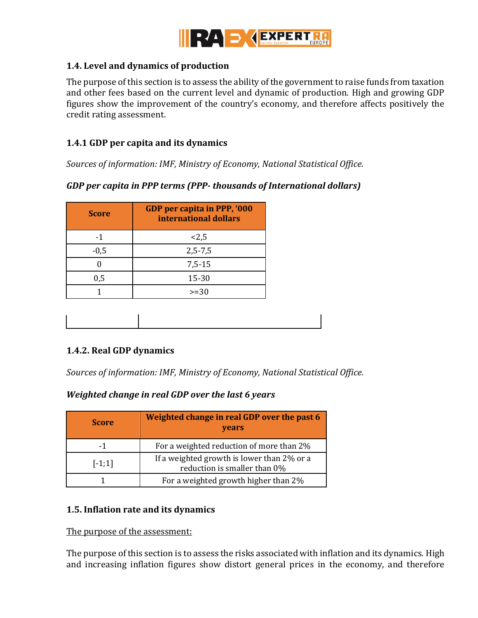

#### <span id="page-13-0"></span>**1.4. Level and dynamics of production**

The purpose of this section is to assess the ability of the government to raise funds from taxation and other fees based on the current level and dynamic of production. High and growing GDP figures show the improvement of the country's economy, and therefore affects positively the credit rating assessment.

#### **1.4.1 GDP per capita and its dynamics**

*Sources of information: IMF, Ministry of Economy, National Statistical Office.* 

#### *GDP per capita in PPP terms (PPP- thousands of International dollars)*

| <b>Score</b> | GDP per capita in PPP, '000<br>international dollars |
|--------------|------------------------------------------------------|
| -1           | < 2, 5                                               |
| $-0,5$       | $2, 5 - 7, 5$                                        |
|              | $7,5-15$                                             |
| 0,5          | 15-30                                                |
|              | $>=30$                                               |

#### **1.4.2. Real GDP dynamics**

*Sources of information: IMF, Ministry of Economy, National Statistical Office.*

#### *Weighted change in real GDP over the last 6 years*

| <b>Score</b> | Weighted change in real GDP over the past 6<br>years                       |
|--------------|----------------------------------------------------------------------------|
| -1           | For a weighted reduction of more than 2%                                   |
| $[-1;1]$     | If a weighted growth is lower than 2% or a<br>reduction is smaller than 0% |
|              | For a weighted growth higher than 2%                                       |

#### <span id="page-13-1"></span>**1.5. Inflation rate and its dynamics**

The purpose of the assessment:

The purpose of this section is to assess the risks associated with inflation and its dynamics. High and increasing inflation figures show distort general prices in the economy, and therefore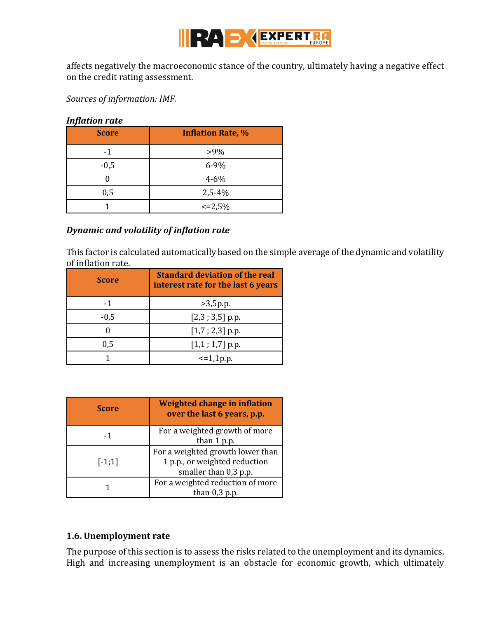

affects negatively the macroeconomic stance of the country, ultimately having a negative effect on the credit rating assessment.

*Sources of information: IMF.*

#### *Inflation rate*

| -<br><b>Score</b> | <b>Inflation Rate, %</b> |
|-------------------|--------------------------|
| $-1$              | $>9\%$                   |
| $-0,5$            | $6 - 9%$                 |
|                   | $4 - 6\%$                |
| 0,5               | $2,5-4%$                 |
|                   | $\leq$ = 2,5%            |

#### *Dynamic and volatility of inflation rate*

This factor is calculated automatically based on the simple average of the dynamic and volatility of inflation rate.

| <b>Score</b> | <b>Standard deviation of the real</b><br>interest rate for the last 6 years |
|--------------|-----------------------------------------------------------------------------|
| $-1$         | >3,5p.p.                                                                    |
| $-0,5$       | $[2,3;3,5]$ p.p.                                                            |
|              | $[1,7; 2,3]$ p.p.                                                           |
| 0,5          | $[1,1;1,7]$ p.p.                                                            |
|              | $\leq 1,1$ p.p.                                                             |

| <b>Score</b> | Weighted change in inflation<br>over the last 6 years, p.p.                                |
|--------------|--------------------------------------------------------------------------------------------|
| -1           | For a weighted growth of more<br>than 1 p.p.                                               |
| $[-1;1]$     | For a weighted growth lower than<br>1 p.p., or weighted reduction<br>smaller than 0,3 p.p. |
|              | For a weighted reduction of more<br>than $0,3$ p.p.                                        |

#### <span id="page-14-0"></span>**1.6. Unemployment rate**

The purpose of this section is to assess the risks related to the unemployment and its dynamics. High and increasing unemployment is an obstacle for economic growth, which ultimately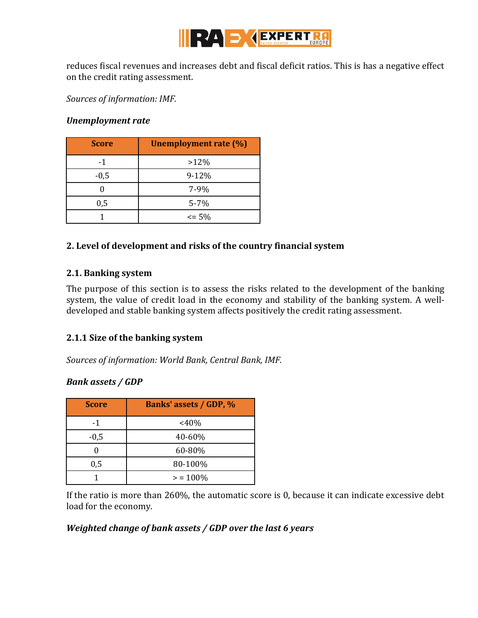

reduces fiscal revenues and increases debt and fiscal deficit ratios. This is has a negative effect on the credit rating assessment.

*Sources of information: IMF.* 

#### *Unemployment rate*

| <b>Score</b> | <b>Unemployment rate (%)</b> |
|--------------|------------------------------|
| -1           | $>12\%$                      |
| $-0,5$       | $9 - 12%$                    |
|              | $7 - 9%$                     |
| 0,5          | $5 - 7%$                     |
|              | $\leq$ 5%                    |

#### <span id="page-15-0"></span>**2. Level of development and risks of the country financial system**

#### <span id="page-15-1"></span>**2.1. Banking system**

The purpose of this section is to assess the risks related to the development of the banking system, the value of credit load in the economy and stability of the banking system. A welldeveloped and stable banking system affects positively the credit rating assessment.

#### **2.1.1 Size of the banking system**

*Sources of information: World Bank, Central Bank, IMF.* 

#### *Bank assets / GDP*

| <b>Score</b> | <b>Banks' assets / GDP, %</b> |
|--------------|-------------------------------|
| -1           | <40%                          |
| $-0,5$       | 40-60%                        |
|              | 60-80%                        |
| 0,5          | 80-100%                       |
|              | $> 100\%$                     |

If the ratio is more than 260%, the automatic score is 0, because it can indicate excessive debt load for the economy.

#### *Weighted change of bank assets / GDP over the last 6 years*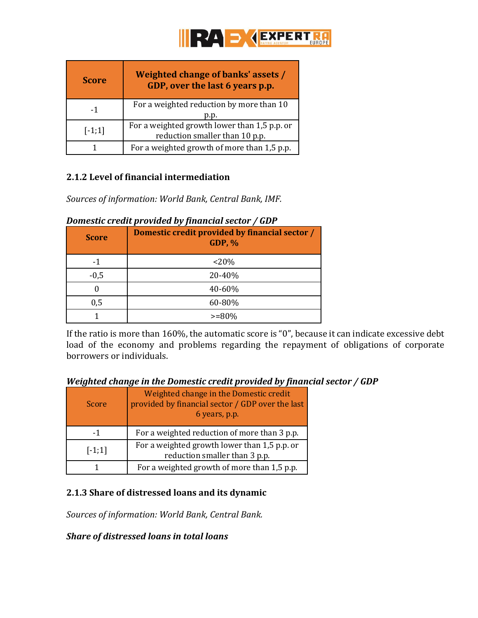

| <b>Score</b> | <b>Weighted change of banks' assets /</b><br>GDP, over the last 6 years p.p.   |
|--------------|--------------------------------------------------------------------------------|
| -1           | For a weighted reduction by more than 10<br>p.p.                               |
| $[-1;1]$     | For a weighted growth lower than 1,5 p.p. or<br>reduction smaller than 10 p.p. |
|              | For a weighted growth of more than 1,5 p.p.                                    |

#### **2.1.2 Level of financial intermediation**

*Sources of information: World Bank, Central Bank, IMF.* 

| <b>Score</b> | Domestic credit provided by financial sector /<br><b>GDP, %</b> |
|--------------|-----------------------------------------------------------------|
|              | < 20%                                                           |
| $-0,5$       | 20-40%                                                          |
|              | 40-60%                                                          |
| 0,5          | 60-80%                                                          |
|              | $>= 80\%$                                                       |

#### *Domestic credit provided by financial sector / GDP*

If the ratio is more than 160%, the automatic score is "0", because it can indicate excessive debt load of the economy and problems regarding the repayment of obligations of corporate borrowers or individuals.

#### *Weighted change in the Domestic credit provided by financial sector / GDP*

| Score    | Weighted change in the Domestic credit<br>provided by financial sector / GDP over the last<br>6 years, p.p. |
|----------|-------------------------------------------------------------------------------------------------------------|
| -1       | For a weighted reduction of more than 3 p.p.                                                                |
| $[-1;1]$ | For a weighted growth lower than 1,5 p.p. or<br>reduction smaller than 3 p.p.                               |
|          | For a weighted growth of more than 1,5 p.p.                                                                 |

# **2.1.3 Share of distressed loans and its dynamic**

*Sources of information: World Bank, Central Bank.*

#### *Share of distressed loans in total loans*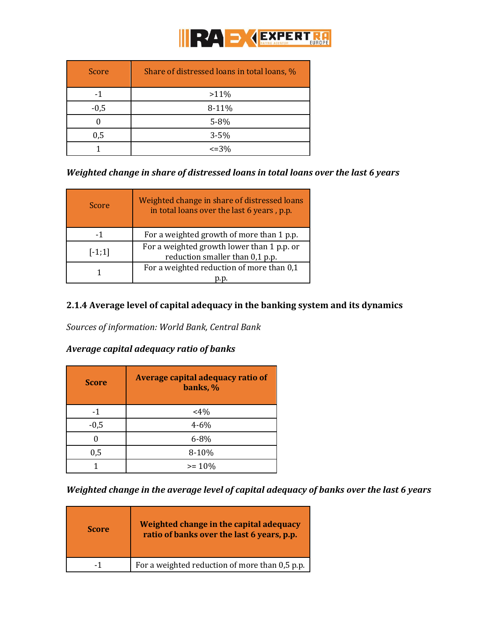

| Score  | Share of distressed loans in total loans, % |
|--------|---------------------------------------------|
| -1     | $>11\%$                                     |
| $-0,5$ | 8-11%                                       |
|        | 5-8%                                        |
| 0,5    | $3 - 5%$                                    |
|        | $\leq$ = 3%                                 |

#### *Weighted change in share of distressed loans in total loans over the last 6 years*

| Score    | Weighted change in share of distressed loans<br>in total loans over the last 6 years, p.p. |
|----------|--------------------------------------------------------------------------------------------|
| -1       | For a weighted growth of more than 1 p.p.                                                  |
| $[-1;1]$ | For a weighted growth lower than 1 p.p. or<br>reduction smaller than 0,1 p.p.              |
|          | For a weighted reduction of more than 0,1                                                  |

#### **2.1.4 Average level of capital adequacy in the banking system and its dynamics**

*Sources of information: World Bank, Central Bank*

# *Average capital adequacy ratio of banks*

| <b>Score</b> | Average capital adequacy ratio of<br>banks, % |
|--------------|-----------------------------------------------|
| -1           | $<4\%$                                        |
| $-0,5$       | $4 - 6\%$                                     |
|              | $6 - 8\%$                                     |
| 0,5          | 8-10%                                         |
|              | $>= 10\%$                                     |

*Weighted change in the average level of capital adequacy of banks over the last 6 years*

| <b>Score</b> | Weighted change in the capital adequacy<br>ratio of banks over the last 6 years, p.p. |
|--------------|---------------------------------------------------------------------------------------|
| - 1          | For a weighted reduction of more than 0.5 p.p.                                        |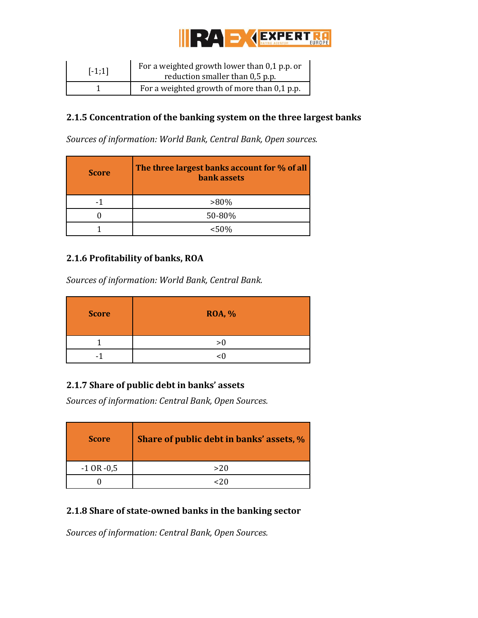

| $[-1;1]$ | For a weighted growth lower than 0,1 p.p. or<br>reduction smaller than 0,5 p.p. |
|----------|---------------------------------------------------------------------------------|
|          | For a weighted growth of more than 0,1 p.p.                                     |

## **2.1.5 Concentration of the banking system on the three largest banks**

*Sources of information: World Bank, Central Bank, Open sources.* 

| <b>Score</b> | The three largest banks account for % of all<br>bank assets |
|--------------|-------------------------------------------------------------|
|              | $>80\%$                                                     |
|              | 50-80%                                                      |
|              | < 50%                                                       |

# **2.1.6 Profitability of banks, ROA**

*Sources of information: World Bank, Central Bank.* 

| <b>Score</b> | <b>ROA, %</b> |
|--------------|---------------|
|              | >0            |
|              |               |

# **2.1.7 Share of public debt in banks' assets**

*Sources of information: Central Bank, Open Sources.* 

| <b>Score</b>   | Share of public debt in banks' assets, % |
|----------------|------------------------------------------|
| $-1$ OR $-0.5$ | >20                                      |
|                |                                          |

# **2.1.8 Share of state-owned banks in the banking sector**

*Sources of information: Central Bank, Open Sources.*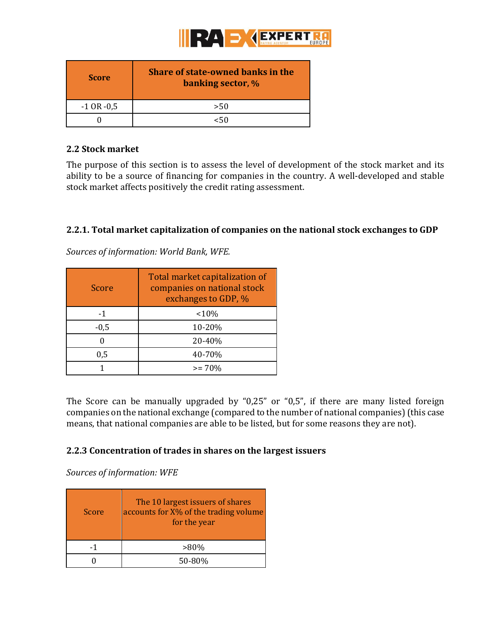

| <b>Score</b>   | <b>Share of state-owned banks in the</b><br><b>banking sector, %</b> |
|----------------|----------------------------------------------------------------------|
| $-1$ OR $-0.5$ | >50                                                                  |
|                |                                                                      |

#### <span id="page-19-0"></span>**2.2 Stock market**

The purpose of this section is to assess the level of development of the stock market and its ability to be a source of financing for companies in the country. A well-developed and stable stock market affects positively the credit rating assessment.

#### **2.2.1. Total market capitalization of companies on the national stock exchanges to GDP**

Score Total market capitalization of companies on national stock exchanges to GDP, %  $-1$   $<10\%$ -0,5 10-20% 0  $20-40\%$ 0,5 40-70% 1  $> = 70\%$ 

*Sources of information: World Bank, WFE.*

The Score can be manually upgraded by "0,25" or "0,5", if there are many listed foreign companies on the national exchange (compared to the number of national companies) (this case means, that national companies are able to be listed, but for some reasons they are not).

#### **2.2.3 Concentration of trades in shares on the largest issuers**

*Sources of information: WFE*

| Score | The 10 largest issuers of shares<br>accounts for X% of the trading volume<br>for the year |
|-------|-------------------------------------------------------------------------------------------|
|       | $>80\%$                                                                                   |
|       | 50-80%                                                                                    |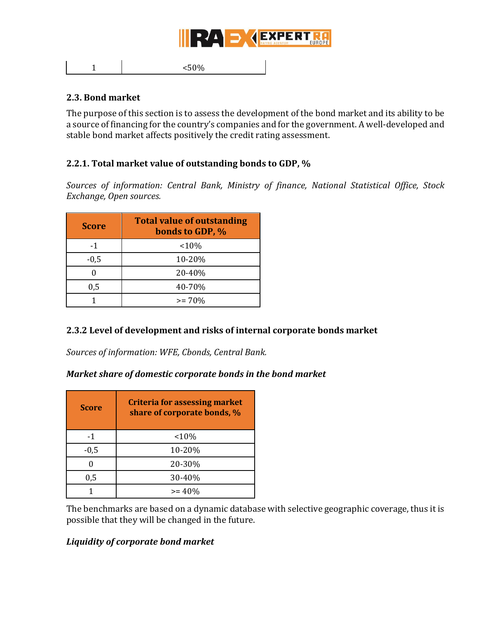

1  $<50\%$ 

#### <span id="page-20-0"></span>**2.3. Bond market**

The purpose of this section is to assess the development of the bond market and its ability to be a source of financing for the country's companies and for the government. A well-developed and stable bond market affects positively the credit rating assessment.

#### **2.2.1. Total market value of outstanding bonds to GDP, %**

*Sources of information: Central Bank, Ministry of finance, National Statistical Office, Stock Exchange, Open sources.* 

| <b>Score</b> | <b>Total value of outstanding</b><br>bonds to GDP, % |
|--------------|------------------------------------------------------|
| -1           | $10\%$                                               |
| $-0,5$       | 10-20%                                               |
|              | 20-40%                                               |
| 0,5          | 40-70%                                               |
|              | $>= 70%$                                             |

#### **2.3.2 Level of development and risks of internal corporate bonds market**

*Sources of information: WFE, Cbonds, Central Bank.* 

#### *Market share of domestic corporate bonds in the bond market*

| <b>Score</b> | <b>Criteria for assessing market</b><br>share of corporate bonds, % |
|--------------|---------------------------------------------------------------------|
| $-1$         | $10\%$                                                              |
| $-0,5$       | 10-20%                                                              |
|              | 20-30%                                                              |
| 0,5          | 30-40%                                                              |
|              | $>= 40%$                                                            |

The benchmarks are based on a dynamic database with selective geographic coverage, thus it is possible that they will be changed in the future.

#### *Liquidity of corporate bond market*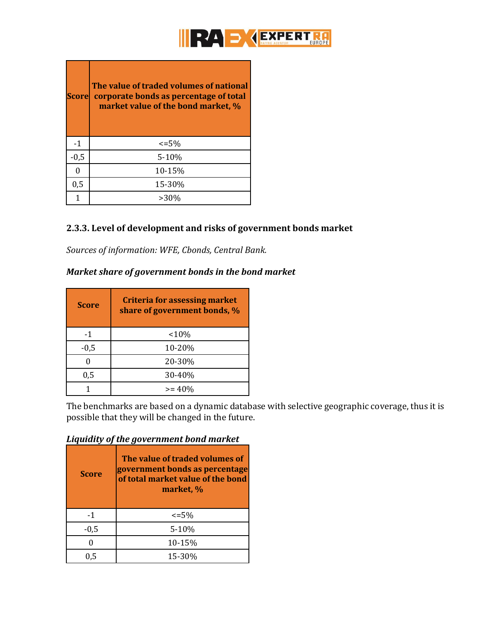

| <b>Score</b> | The value of traded volumes of national<br>corporate bonds as percentage of total<br>market value of the bond market, % |
|--------------|-------------------------------------------------------------------------------------------------------------------------|
| -1           | $\leq$ =5%                                                                                                              |
| $-0,5$       | $5-10%$                                                                                                                 |
| 0            | 10-15%                                                                                                                  |
| 0,5          | 15-30%                                                                                                                  |
| 1            | $>30\%$                                                                                                                 |

#### **2.3.3. Level of development and risks of government bonds market**

*Sources of information: WFE, Cbonds, Central Bank.* 

# *Market share of government bonds in the bond market*

| <b>Score</b> | <b>Criteria for assessing market</b><br>share of government bonds, % |
|--------------|----------------------------------------------------------------------|
| -1           | $10\%$                                                               |
| $-0,5$       | 10-20%                                                               |
|              | 20-30%                                                               |
| 0,5          | 30-40%                                                               |
|              | $>= 40\%$                                                            |

The benchmarks are based on a dynamic database with selective geographic coverage, thus it is possible that they will be changed in the future.

# *Liquidity of the government bond market*

| <b>Score</b> | The value of traded volumes of<br>government bonds as percentage<br>of total market value of the bond<br>market, % |
|--------------|--------------------------------------------------------------------------------------------------------------------|
| -1           | $\leq 5\%$                                                                                                         |
| $-0,5$       | $5 - 10%$                                                                                                          |
|              | 10-15%                                                                                                             |
| 0.5          | 15-30%                                                                                                             |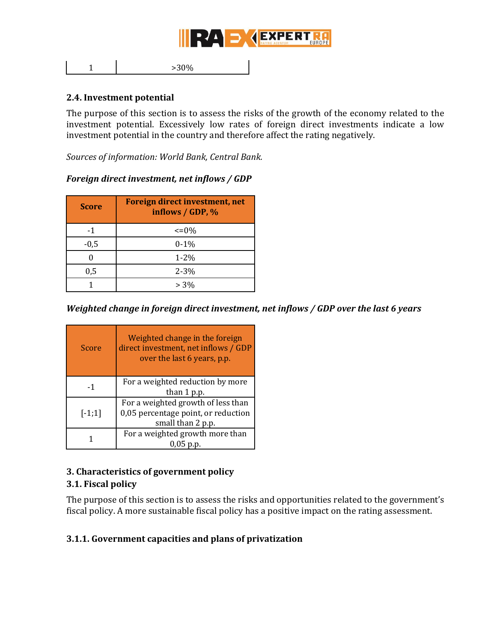

1  $>30\%$ 

#### <span id="page-22-0"></span>**2.4. Investment potential**

The purpose of this section is to assess the risks of the growth of the economy related to the investment potential. Excessively low rates of foreign direct investments indicate a low investment potential in the country and therefore affect the rating negatively.

*Sources of information: World Bank, Central Bank.*

| <b>Score</b> | Foreign direct investment, net<br>inflows $\overline{}/$ GDP, $\%$ |
|--------------|--------------------------------------------------------------------|
| -1           | $\leq$ = 0%                                                        |
| $-0,5$       | $0 - 1\%$                                                          |
|              | $1 - 2\%$                                                          |
| 0,5          | $2 - 3\%$                                                          |
|              | $> 3\%$                                                            |

#### *Foreign direct investment, net inflows / GDP*

#### *Weighted change in foreign direct investment, net inflows / GDP over the last 6 years*

| Score    | Weighted change in the foreign<br>direct investment, net inflows / GDP<br>over the last 6 years, p.p. |
|----------|-------------------------------------------------------------------------------------------------------|
| -1       | For a weighted reduction by more<br>than 1 p.p.                                                       |
| $[-1;1]$ | For a weighted growth of less than<br>0,05 percentage point, or reduction<br>small than 2 p.p.        |
|          | For a weighted growth more than                                                                       |

#### <span id="page-22-1"></span>**3. Characteristics of government policy**

#### <span id="page-22-2"></span>**3.1. Fiscal policy**

The purpose of this section is to assess the risks and opportunities related to the government's fiscal policy. A more sustainable fiscal policy has a positive impact on the rating assessment.

#### **3.1.1. Government capacities and plans of privatization**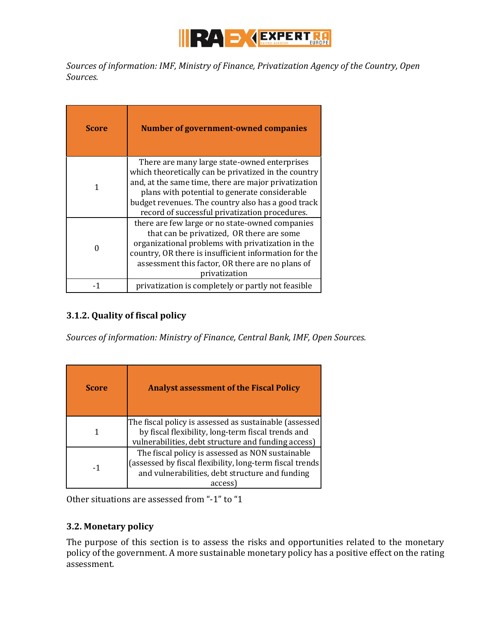

*Sources of information: IMF, Ministry of Finance, Privatization Agency of the Country, Open Sources.*

| <b>Score</b> | Number of government-owned companies                                                                                                                                                                                                                                                                                  |
|--------------|-----------------------------------------------------------------------------------------------------------------------------------------------------------------------------------------------------------------------------------------------------------------------------------------------------------------------|
|              | There are many large state-owned enterprises<br>which theoretically can be privatized in the country<br>and, at the same time, there are major privatization<br>plans with potential to generate considerable<br>budget revenues. The country also has a good track<br>record of successful privatization procedures. |
|              | there are few large or no state-owned companies<br>that can be privatized, OR there are some<br>organizational problems with privatization in the<br>country, OR there is insufficient information for the<br>assessment this factor, OR there are no plans of<br>privatization                                       |
|              | privatization is completely or partly not feasible                                                                                                                                                                                                                                                                    |

# **3.1.2. Quality of fiscal policy**

*Sources of information: Ministry of Finance, Central Bank, IMF, Open Sources.* 

| <b>Score</b> | <b>Analyst assessment of the Fiscal Policy</b>                                                                                                                            |
|--------------|---------------------------------------------------------------------------------------------------------------------------------------------------------------------------|
|              | The fiscal policy is assessed as sustainable (assessed<br>by fiscal flexibility, long-term fiscal trends and<br>vulnerabilities, debt structure and funding access)       |
| -1           | The fiscal policy is assessed as NON sustainable<br>(assessed by fiscal flexibility, long-term fiscal trends<br>and vulnerabilities, debt structure and funding<br>access |

Other situations are assessed from "-1" to "1

# <span id="page-23-0"></span>**3.2. Monetary policy**

The purpose of this section is to assess the risks and opportunities related to the monetary policy of the government. A more sustainable monetary policy has a positive effect on the rating assessment.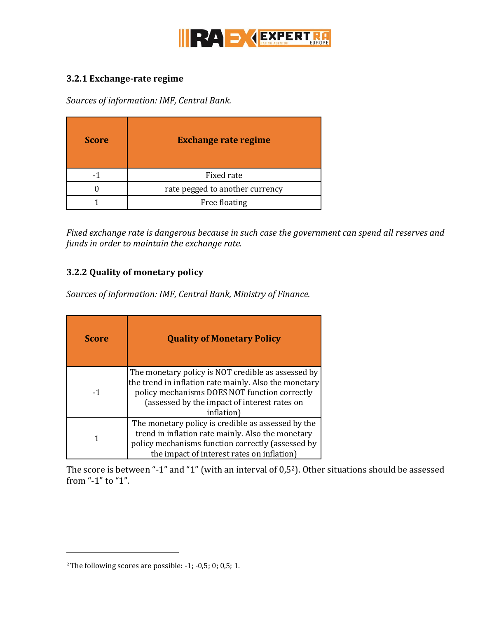

#### **3.2.1 Exchange-rate regime**

*Sources of information: IMF, Central Bank.* 

| <b>Score</b> | <b>Exchange rate regime</b>     |
|--------------|---------------------------------|
|              | Fixed rate                      |
|              | rate pegged to another currency |
|              | Free floating                   |

*Fixed exchange rate is dangerous because in such case the government can spend all reserves and funds in order to maintain the exchange rate.*

# **3.2.2 Quality of monetary policy**

*Sources of information: IMF, Central Bank, Ministry of Finance.* 

| <b>Score</b> | <b>Quality of Monetary Policy</b>                                                                                                                                                                                          |
|--------------|----------------------------------------------------------------------------------------------------------------------------------------------------------------------------------------------------------------------------|
| -1           | The monetary policy is NOT credible as assessed by<br>the trend in inflation rate mainly. Also the monetary<br>policy mechanisms DOES NOT function correctly<br>(assessed by the impact of interest rates on<br>inflation) |
|              | The monetary policy is credible as assessed by the<br>trend in inflation rate mainly. Also the monetary<br>policy mechanisms function correctly (assessed by<br>the impact of interest rates on inflation)                 |

The score is between "-1" and "1" (with an interval of 0,52). Other situations should be assessed from "-1" to "1".

 $\overline{a}$ 

<sup>&</sup>lt;sup>2</sup> The following scores are possible:  $-1$ ;  $-0.5$ ; 0; 0.5; 1.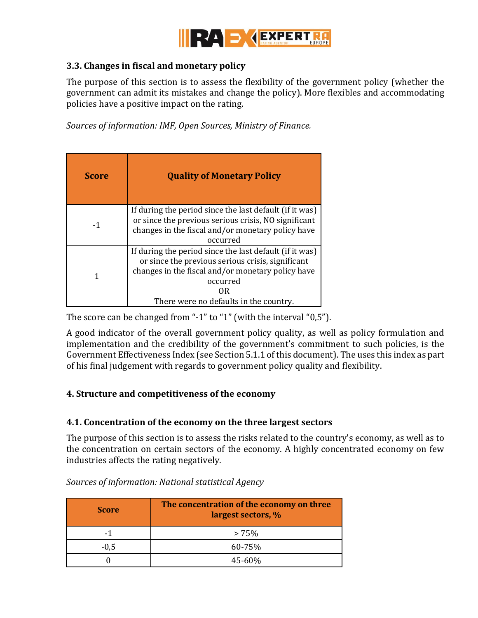

#### <span id="page-25-0"></span>**3.3. Changes in fiscal and monetary policy**

The purpose of this section is to assess the flexibility of the government policy (whether the government can admit its mistakes and change the policy). More flexibles and accommodating policies have a positive impact on the rating.

*Sources of information: IMF, Open Sources, Ministry of Finance.*

| <b>Score</b> | <b>Quality of Monetary Policy</b>                                                                                                                                                                                              |
|--------------|--------------------------------------------------------------------------------------------------------------------------------------------------------------------------------------------------------------------------------|
| -1           | If during the period since the last default (if it was)<br>or since the previous serious crisis, NO significant<br>changes in the fiscal and/or monetary policy have<br>occurred                                               |
|              | If during the period since the last default (if it was)<br>or since the previous serious crisis, significant<br>changes in the fiscal and/or monetary policy have<br>occurred<br>OR.<br>There were no defaults in the country. |

The score can be changed from "-1" to "1" (with the interval "0,5").

A good indicator of the overall government policy quality, as well as policy formulation and implementation and the credibility of the government's commitment to such policies, is the Government Effectiveness Index (see Section 5.1.1 of this document). The uses this index as part of his final judgement with regards to government policy quality and flexibility.

# <span id="page-25-1"></span>**4. Structure and competitiveness of the economy**

#### <span id="page-25-2"></span>**4.1. Concentration of the economy on the three largest sectors**

The purpose of this section is to assess the risks related to the country's economy, as well as to the concentration on certain sectors of the economy. A highly concentrated economy on few industries affects the rating negatively.

| <b>Score</b> | The concentration of the economy on three<br>largest sectors, % |
|--------------|-----------------------------------------------------------------|
| -1           | $>75\%$                                                         |
| $-0,5$       | 60-75%                                                          |
|              | $45 - 60%$                                                      |

*Sources of information: National statistical Agency*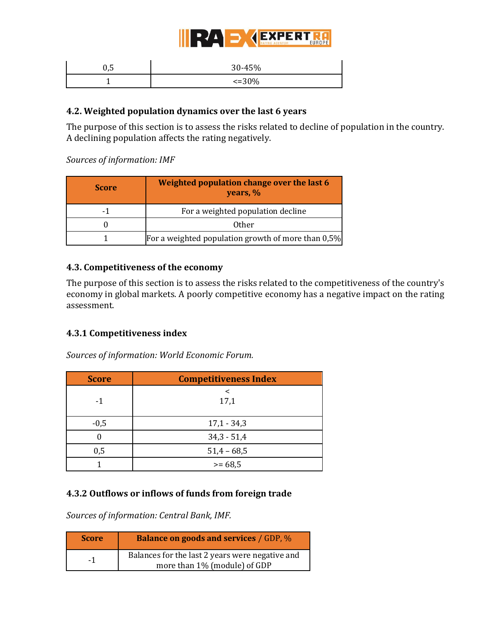

| U, J | 30-45%      |
|------|-------------|
|      | $\leq 30\%$ |

#### <span id="page-26-0"></span>**4.2. Weighted population dynamics over the last 6 years**

The purpose of this section is to assess the risks related to decline of population in the country. A declining population affects the rating negatively.

*Sources of information: IMF*

| <b>Score</b> | Weighted population change over the last 6<br>years, % |
|--------------|--------------------------------------------------------|
|              | For a weighted population decline                      |
|              | 0ther                                                  |
|              | For a weighted population growth of more than 0,5%     |

#### <span id="page-26-1"></span>**4.3. Competitiveness of the economy**

The purpose of this section is to assess the risks related to the competitiveness of the country's economy in global markets. A poorly competitive economy has a negative impact on the rating assessment.

#### **4.3.1 Competitiveness index**

*Sources of information: World Economic Forum.* 

| <b>Score</b> | <b>Competitiveness Index</b> |
|--------------|------------------------------|
| -1           | 17,1                         |
| $-0,5$       | $17,1 - 34,3$                |
|              | $34,3 - 51,4$                |
| 0,5          | $51,4 - 68,5$                |
|              | $>= 68.5$                    |

# **4.3.2 Outflows or inflows of funds from foreign trade**

*Sources of information: Central Bank, IMF.* 

| <b>Score</b> | <b>Balance on goods and services / GDP, %</b>                                   |
|--------------|---------------------------------------------------------------------------------|
| $-1$         | Balances for the last 2 years were negative and<br>more than 1% (module) of GDP |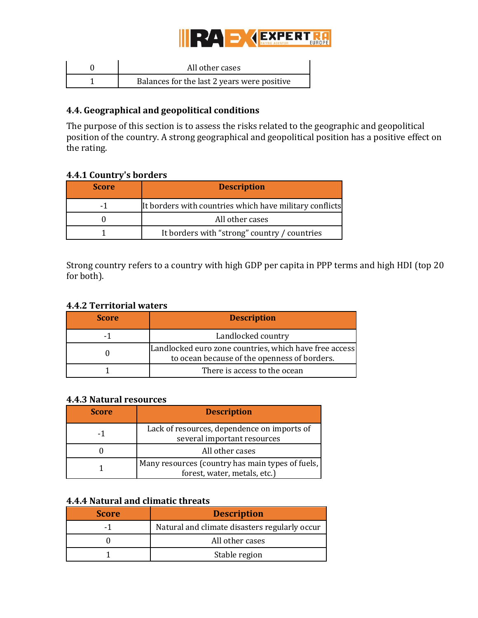

| All other cases                             |
|---------------------------------------------|
| Balances for the last 2 years were positive |

## <span id="page-27-0"></span>**4.4. Geographical and geopolitical conditions**

The purpose of this section is to assess the risks related to the geographic and geopolitical position of the country. A strong geographical and geopolitical position has a positive effect on the rating.

#### **4.4.1 Country's borders**

| <b>Score</b> | <b>Description</b>                                      |
|--------------|---------------------------------------------------------|
| -1           | It borders with countries which have military conflicts |
|              | All other cases                                         |
|              | It borders with "strong" country / countries            |

Strong country refers to a country with high GDP per capita in PPP terms and high HDI (top 20 for both).

#### **4.4.2 Territorial waters**

| <b>Score</b> | <b>Description</b>                                                                                     |
|--------------|--------------------------------------------------------------------------------------------------------|
| -1           | Landlocked country                                                                                     |
|              | Landlocked euro zone countries, which have free access<br>to ocean because of the openness of borders. |
|              | There is access to the ocean                                                                           |

#### **4.4.3 Natural resources**

| <b>Score</b> | <b>Description</b>                                                               |
|--------------|----------------------------------------------------------------------------------|
| - 1          | Lack of resources, dependence on imports of<br>several important resources       |
|              | All other cases                                                                  |
|              | Many resources (country has main types of fuels,<br>forest, water, metals, etc.) |

#### **4.4.4 Natural and climatic threats**

| <b>Score</b> | <b>Description</b>                            |
|--------------|-----------------------------------------------|
|              | Natural and climate disasters regularly occur |
|              | All other cases                               |
|              | Stable region                                 |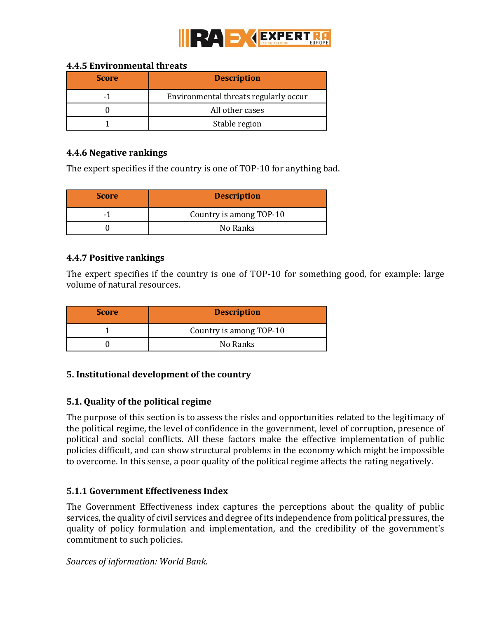

#### **4.4.5 Environmental threats**

| <b>Score</b> | <b>Description</b>                    |
|--------------|---------------------------------------|
| - 1          | Environmental threats regularly occur |
|              | All other cases                       |
|              | Stable region                         |

#### **4.4.6 Negative rankings**

The expert specifies if the country is one of TOP-10 for anything bad.

| <b>Score</b> | <b>Description</b>      |
|--------------|-------------------------|
| $\sim$       | Country is among TOP-10 |
|              | No Ranks                |

#### **4.4.7 Positive rankings**

The expert specifies if the country is one of TOP-10 for something good, for example: large volume of natural resources.

| <b>Score</b> | <b>Description</b>      |
|--------------|-------------------------|
|              | Country is among TOP-10 |
|              | No Ranks                |

#### <span id="page-28-0"></span>**5. Institutional development of the country**

#### <span id="page-28-1"></span>**5.1. Quality of the political regime**

The purpose of this section is to assess the risks and opportunities related to the legitimacy of the political regime, the level of confidence in the government, level of corruption, presence of political and social conflicts. All these factors make the effective implementation of public policies difficult, and can show structural problems in the economy which might be impossible to overcome. In this sense, a poor quality of the political regime affects the rating negatively.

#### **5.1.1 Government Effectiveness Index**

The Government Effectiveness index captures the perceptions about the quality of public services, the quality of civil services and degree of its independence from political pressures, the quality of policy formulation and implementation, and the credibility of the government's commitment to such policies.

*Sources of information: World Bank.*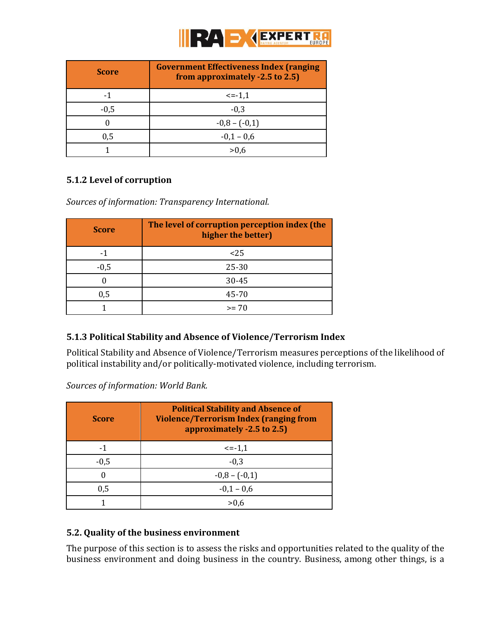

| <b>Score</b> | <b>Government Effectiveness Index (ranging</b><br>from approximately -2.5 to 2.5) |
|--------------|-----------------------------------------------------------------------------------|
| -1           | $\le -1,1$                                                                        |
| $-0,5$       | $-0.3$                                                                            |
|              | $-0,8-(-0,1)$                                                                     |
| 0,5          | $-0,1 - 0,6$                                                                      |
|              |                                                                                   |

# **5.1.2 Level of corruption**

*Sources of information: Transparency International.*

| <b>Score</b> | The level of corruption perception index (the<br>higher the better) |
|--------------|---------------------------------------------------------------------|
| -1           | $25$                                                                |
| $-0,5$       | $25 - 30$                                                           |
|              | 30-45                                                               |
| 0,5          | 45-70                                                               |
|              | $>= 70$                                                             |

# **5.1.3 Political Stability and Absence of Violence/Terrorism Index**

Political Stability and Absence of Violence/Terrorism measures perceptions of the likelihood of political instability and/or politically-motivated violence, including terrorism.

*Sources of information: World Bank.* 

| <b>Score</b> | <b>Political Stability and Absence of</b><br><b>Violence/Terrorism Index (ranging from</b><br>approximately -2.5 to 2.5) |
|--------------|--------------------------------------------------------------------------------------------------------------------------|
|              | $\le -1,1$                                                                                                               |
| $-0,5$       | $-0.3$                                                                                                                   |
| 0            | $-0,8 - (-0,1)$                                                                                                          |
| 0,5          | $-0.1 - 0.6$                                                                                                             |
|              |                                                                                                                          |

# <span id="page-29-0"></span>**5.2. Quality of the business environment**

The purpose of this section is to assess the risks and opportunities related to the quality of the business environment and doing business in the country. Business, among other things, is a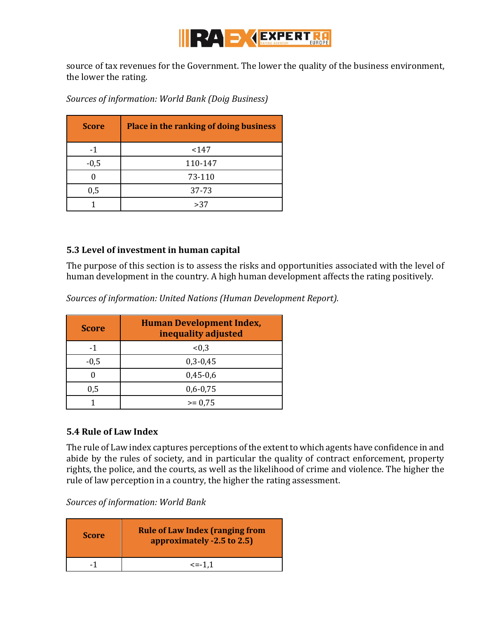

source of tax revenues for the Government. The lower the quality of the business environment, the lower the rating.

| <b>Score</b> | Place in the ranking of doing business |
|--------------|----------------------------------------|
| $-1$         | < 147                                  |
| $-0,5$       | 110-147                                |
|              | 73-110                                 |
| 0,5          | 37-73                                  |
|              | >37                                    |

*Sources of information: World Bank (Doig Business)*

#### <span id="page-30-0"></span>**5.3 Level of investment in human capital**

The purpose of this section is to assess the risks and opportunities associated with the level of human development in the country. A high human development affects the rating positively.

*Sources of information: United Nations (Human Development Report).*

| <b>Score</b> | <b>Human Development Index,</b><br>inequality adjusted |
|--------------|--------------------------------------------------------|
|              | < 0.3                                                  |
| $-0,5$       | $0,3-0,45$                                             |
|              | $0,45-0,6$                                             |
| 0,5          | $0,6 - 0,75$                                           |
|              | $>= 0.75$                                              |

#### <span id="page-30-1"></span>**5.4 Rule of Law Index**

The rule of Law index captures perceptions of the extent to which agents have confidence in and abide by the rules of society, and in particular the quality of contract enforcement, property rights, the police, and the courts, as well as the likelihood of crime and violence. The higher the rule of law perception in a country, the higher the rating assessment.

*Sources of information: World Bank*

| <b>Score</b> | <b>Rule of Law Index (ranging from</b><br>approximately -2.5 to 2.5) |
|--------------|----------------------------------------------------------------------|
|              | $\le$ = -1.1                                                         |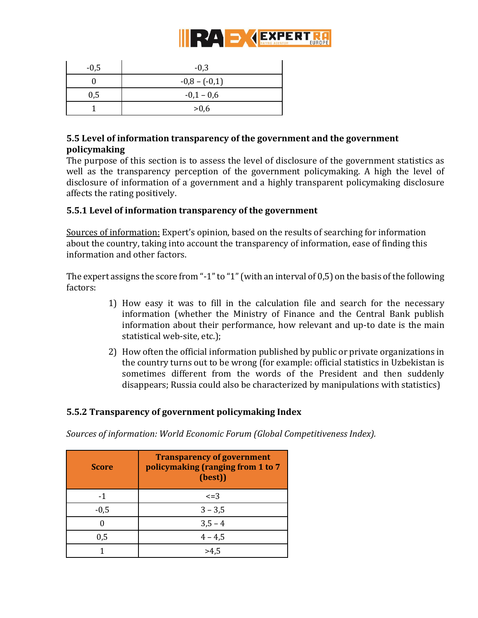

| $-0,5$ | $-0,3$        |
|--------|---------------|
|        | $-0,8-(-0,1)$ |
| 0,5    | $-0,1 - 0,6$  |
|        | >0,6          |

# <span id="page-31-0"></span>**5.5 Level of information transparency of the government and the government policymaking**

The purpose of this section is to assess the level of disclosure of the government statistics as well as the transparency perception of the government policymaking. A high the level of disclosure of information of a government and a highly transparent policymaking disclosure affects the rating positively.

#### **5.5.1 Level of information transparency of the government**

Sources of information: Expert's opinion, based on the results of searching for information about the country, taking into account the transparency of information, ease of finding this information and other factors.

The expert assigns the score from "-1" to "1" (with an interval of 0,5) on the basis of the following factors:

- 1) How easy it was to fill in the calculation file and search for the necessary information (whether the Ministry of Finance and the Central Bank publish information about their performance, how relevant and up-to date is the main statistical web-site, etc.);
- 2) How often the official information published by public or private organizations in the country turns out to be wrong (for example: official statistics in Uzbekistan is sometimes different from the words of the President and then suddenly disappears; Russia could also be characterized by manipulations with statistics)

#### **5.5.2 Transparency of government policymaking Index**

*Sources of information: World Economic Forum (Global Competitiveness Index).*

| <b>Score</b> | <b>Transparency of government</b><br>policymaking (ranging from 1 to 7<br>(best)) |
|--------------|-----------------------------------------------------------------------------------|
|              | $\leq$ =3                                                                         |
| $-0,5$       | $3 - 3,5$                                                                         |
|              | $3,5 - 4$                                                                         |
| 0,5          | $4 - 4,5$                                                                         |
|              |                                                                                   |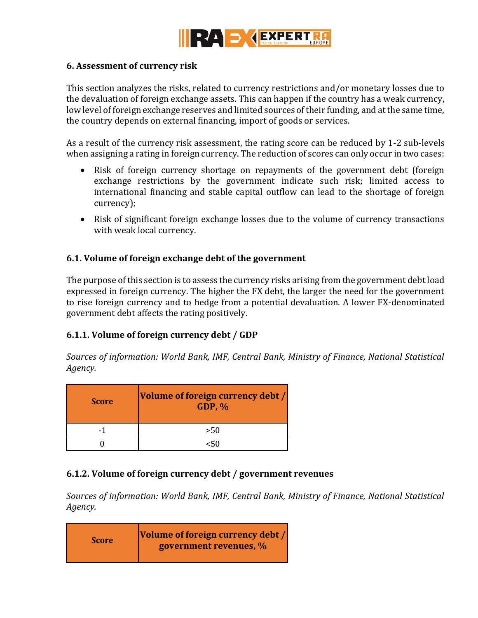

#### <span id="page-32-0"></span>**6. Assessment of currency risk**

This section analyzes the risks, related to currency restrictions and/or monetary losses due to the devaluation of foreign exchange assets. This can happen if the country has a weak currency, low level of foreign exchange reserves and limited sources of their funding, and at the same time, the country depends on external financing, import of goods or services.

As a result of the currency risk assessment, the rating score can be reduced by 1-2 sub-levels when assigning a rating in foreign currency. The reduction of scores can only occur in two cases:

- Risk of foreign currency shortage on repayments of the government debt (foreign exchange restrictions by the government indicate such risk; limited access to international financing and stable capital outflow can lead to the shortage of foreign currency);
- Risk of significant foreign exchange losses due to the volume of currency transactions with weak local currency.

#### <span id="page-32-1"></span>**6.1. Volume of foreign exchange debt of the government**

The purpose of this section is to assess the currency risks arising from the government debt load expressed in foreign currency. The higher the FX debt, the larger the need for the government to rise foreign currency and to hedge from a potential devaluation. A lower FX-denominated government debt affects the rating positively.

#### **6.1.1. Volume of foreign currency debt / GDP**

*Sources of information: World Bank, IMF, Central Bank, Ministry of Finance, National Statistical Agency.* 

| <b>Score</b> | Volume of foreign currency debt /<br><b>GDP, %</b> |
|--------------|----------------------------------------------------|
|              | >50                                                |
|              |                                                    |

#### **6.1.2. Volume of foreign currency debt / government revenues**

*Sources of information: World Bank, IMF, Central Bank, Ministry of Finance, National Statistical Agency.* 

| <b>Score</b> | Volume of foreign currency debt /<br>government revenues, % |
|--------------|-------------------------------------------------------------|
|--------------|-------------------------------------------------------------|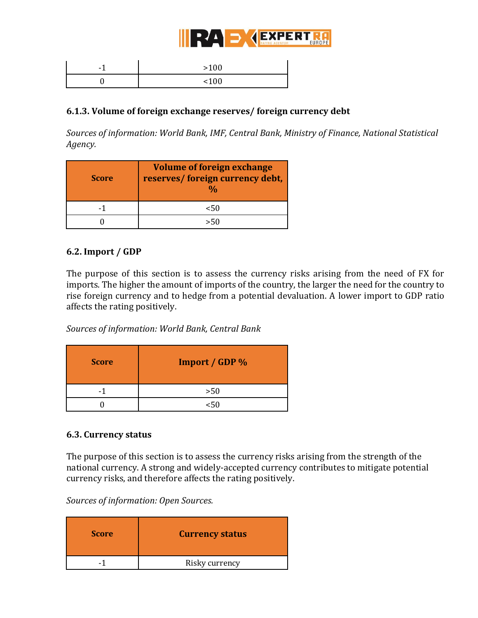

| $\overline{\phantom{0}}$<br>— | >100 |
|-------------------------------|------|
|                               | 100  |

#### **6.1.3. Volume of foreign exchange reserves/ foreign currency debt**

*Sources of information: World Bank, IMF, Central Bank, Ministry of Finance, National Statistical Agency.*

| <b>Score</b> | <b>Volume of foreign exchange</b><br>reserves/ foreign currency debt, |
|--------------|-----------------------------------------------------------------------|
|              | <50                                                                   |
|              |                                                                       |

#### <span id="page-33-0"></span>**6.2. Import / GDP**

The purpose of this section is to assess the currency risks arising from the need of FX for imports. The higher the amount of imports of the country, the larger the need for the country to rise foreign currency and to hedge from a potential devaluation. A lower import to GDP ratio affects the rating positively.

*Sources of information: World Bank, Central Bank*

| <b>Score</b> | Import / GDP % |
|--------------|----------------|
|              | >50            |
|              | <50            |

#### <span id="page-33-1"></span>**6.3. Currency status**

The purpose of this section is to assess the currency risks arising from the strength of the national currency. A strong and widely-accepted currency contributes to mitigate potential currency risks, and therefore affects the rating positively.

*Sources of information: Open Sources.* 

| <b>Score</b> | <b>Currency status</b> |
|--------------|------------------------|
|              | Risky currency         |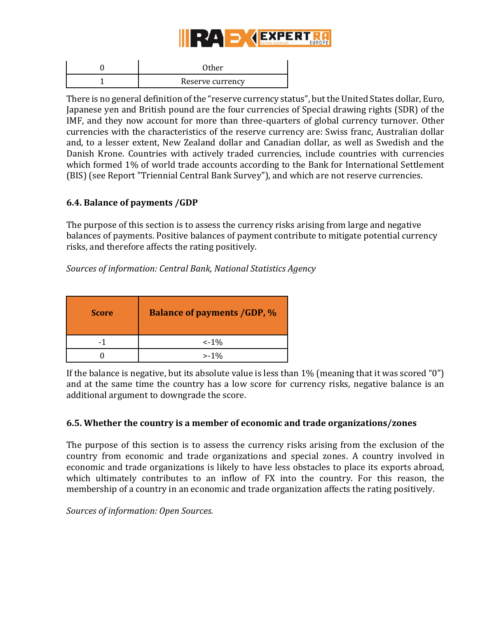

| Other            |
|------------------|
| Reserve currency |

There is no general definition of the "reserve currency status", but the United States dollar, Euro, Japanese yen and British pound are the four currencies of Special drawing rights (SDR) of the IMF, and they now account for more than three-quarters of global currency turnover. Other currencies with the characteristics of the reserve currency are: Swiss franc, Australian dollar and, to a lesser extent, New Zealand dollar and Canadian dollar, as well as Swedish and the Danish Krone. Countries with actively traded currencies, include countries with currencies which formed 1% of world trade accounts according to the Bank for International Settlement (BIS) (see Report "Triennial Central Bank Survey"), and which are not reserve currencies.

#### <span id="page-34-0"></span>**6.4. Balance of payments /GDP**

The purpose of this section is to assess the currency risks arising from large and negative balances of payments. Positive balances of payment contribute to mitigate potential currency risks, and therefore affects the rating positively.

*Sources of information: Central Bank, National Statistics Agency*

| <b>Score</b> | <b>Balance of payments /GDP, %</b> |
|--------------|------------------------------------|
|              | $\leq -1\%$                        |
|              | $>1\%$                             |

If the balance is negative, but its absolute value is less than 1% (meaning that it was scored "0") and at the same time the country has a low score for currency risks, negative balance is an additional argument to downgrade the score.

#### <span id="page-34-1"></span>**6.5. Whether the country is a member of economic and trade organizations/zones**

The purpose of this section is to assess the currency risks arising from the exclusion of the country from economic and trade organizations and special zones. A country involved in economic and trade organizations is likely to have less obstacles to place its exports abroad, which ultimately contributes to an inflow of FX into the country. For this reason, the membership of a country in an economic and trade organization affects the rating positively.

*Sources of information: Open Sources.*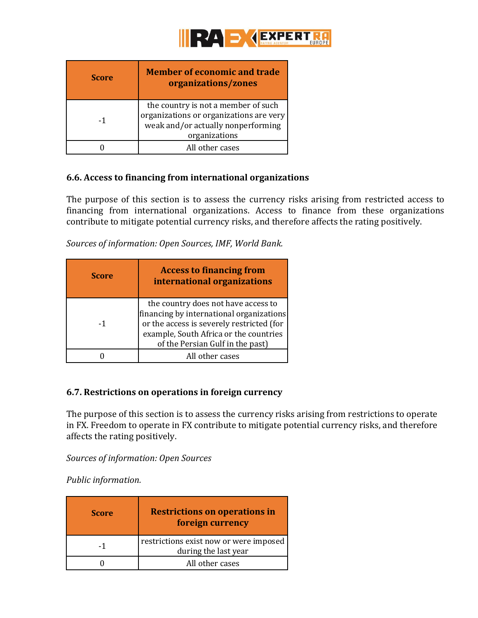

| <b>Score</b> | <b>Member of economic and trade</b><br>organizations/zones                                                                            |
|--------------|---------------------------------------------------------------------------------------------------------------------------------------|
| $-1$         | the country is not a member of such<br>organizations or organizations are very<br>weak and/or actually nonperforming<br>organizations |
|              | All other cases                                                                                                                       |

#### <span id="page-35-0"></span>**6.6. Access to financing from international organizations**

The purpose of this section is to assess the currency risks arising from restricted access to financing from international organizations. Access to finance from these organizations contribute to mitigate potential currency risks, and therefore affects the rating positively.

*Sources of information: Open Sources, IMF, World Bank.* 

| <b>Score</b> | <b>Access to financing from</b><br>international organizations                                                                                                                                             |
|--------------|------------------------------------------------------------------------------------------------------------------------------------------------------------------------------------------------------------|
| -1           | the country does not have access to<br>financing by international organizations<br>or the access is severely restricted (for<br>example, South Africa or the countries<br>of the Persian Gulf in the past) |
|              | All other cases                                                                                                                                                                                            |

#### <span id="page-35-1"></span>**6.7. Restrictions on operations in foreign currency**

The purpose of this section is to assess the currency risks arising from restrictions to operate in FX. Freedom to operate in FX contribute to mitigate potential currency risks, and therefore affects the rating positively.

*Sources of information: Open Sources*

*Public information.*

<span id="page-35-2"></span>

| <b>Score</b> | <b>Restrictions on operations in</b><br>foreign currency       |
|--------------|----------------------------------------------------------------|
| -1           | restrictions exist now or were imposed<br>during the last year |
|              | All other cases                                                |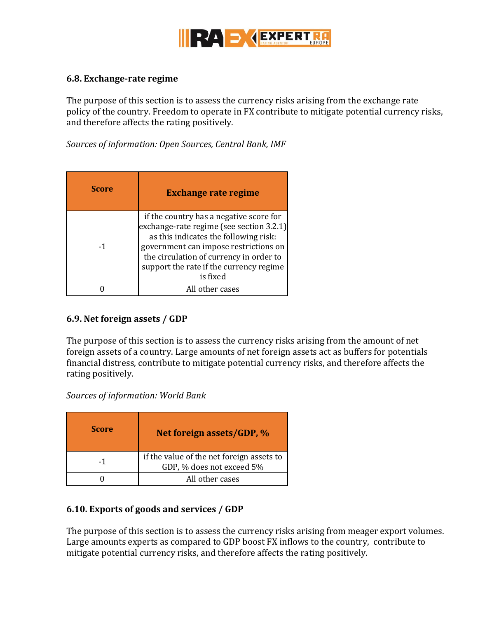

#### <span id="page-36-0"></span>**6.8. Exchange-rate regime**

The purpose of this section is to assess the currency risks arising from the exchange rate policy of the country. Freedom to operate in FX contribute to mitigate potential currency risks, and therefore affects the rating positively.

*Sources of information: Open Sources, Central Bank, IMF*

<span id="page-36-1"></span>

| <b>Score</b> | <b>Exchange rate regime</b>                                                                                                                                                                                                                                             |
|--------------|-------------------------------------------------------------------------------------------------------------------------------------------------------------------------------------------------------------------------------------------------------------------------|
| -1           | if the country has a negative score for<br>exchange-rate regime (see section 3.2.1)<br>as this indicates the following risk:<br>government can impose restrictions on<br>the circulation of currency in order to<br>support the rate if the currency regime<br>is fixed |
|              | All other cases                                                                                                                                                                                                                                                         |

#### <span id="page-36-2"></span>**6.9. Net foreign assets / GDP**

The purpose of this section is to assess the currency risks arising from the amount of net foreign assets of a country. Large amounts of net foreign assets act as buffers for potentials financial distress, contribute to mitigate potential currency risks, and therefore affects the rating positively.

*Sources of information: World Bank*

<span id="page-36-3"></span>

| <b>Score</b> | Net foreign assets/GDP, %                                              |
|--------------|------------------------------------------------------------------------|
| -1           | if the value of the net foreign assets to<br>GDP, % does not exceed 5% |
|              | All other cases                                                        |

#### <span id="page-36-4"></span>**6.10. Exports of goods and services / GDP**

The purpose of this section is to assess the currency risks arising from meager export volumes. Large amounts experts as compared to GDP boost FX inflows to the country, contribute to mitigate potential currency risks, and therefore affects the rating positively.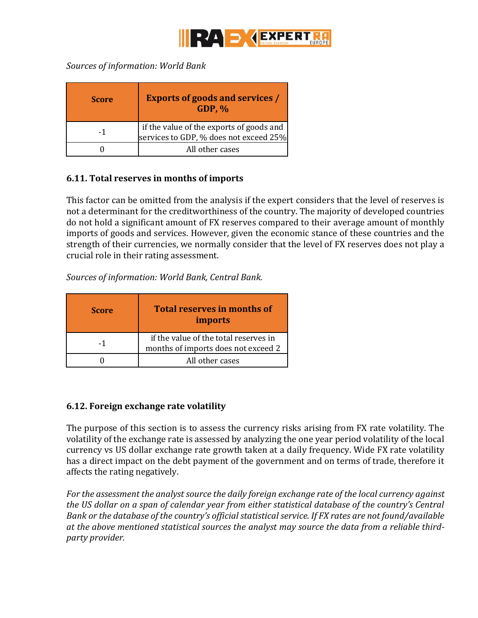<span id="page-37-0"></span>

*Sources of information: World Bank*

| <b>Score</b> | <b>Exports of goods and services /</b><br>$GDP, \%$                                |
|--------------|------------------------------------------------------------------------------------|
| -1           | if the value of the exports of goods and<br>services to GDP, % does not exceed 25% |
|              | All other cases                                                                    |

#### <span id="page-37-1"></span>**6.11. Total reserves in months of imports**

This factor can be omitted from the analysis if the expert considers that the level of reserves is not a determinant for the creditworthiness of the country. The majority of developed countries do not hold a significant amount of FX reserves compared to their average amount of monthly imports of goods and services. However, given the economic stance of these countries and the strength of their currencies, we normally consider that the level of FX reserves does not play a crucial role in their rating assessment.

*Sources of information: World Bank, Central Bank.* 

<span id="page-37-2"></span>

| <b>Score</b> | <b>Total reserves in months of</b><br>imports                                |
|--------------|------------------------------------------------------------------------------|
| -1           | if the value of the total reserves in<br>months of imports does not exceed 2 |
|              | All other cases                                                              |

#### <span id="page-37-3"></span>**6.12. Foreign exchange rate volatility**

The purpose of this section is to assess the currency risks arising from FX rate volatility. The volatility of the exchange rate is assessed by analyzing the one year period volatility of the local currency vs US dollar exchange rate growth taken at a daily frequency. Wide FX rate volatility has a direct impact on the debt payment of the government and on terms of trade, therefore it affects the rating negatively.

*For the assessment the analyst source the daily foreign exchange rate of the local currency against the US dollar on a span of calendar year from either statistical database of the country's Central Bank or the database of the country's official statistical service. If FX rates are not found/available at the above mentioned statistical sources the analyst may source the data from a reliable thirdparty provider.*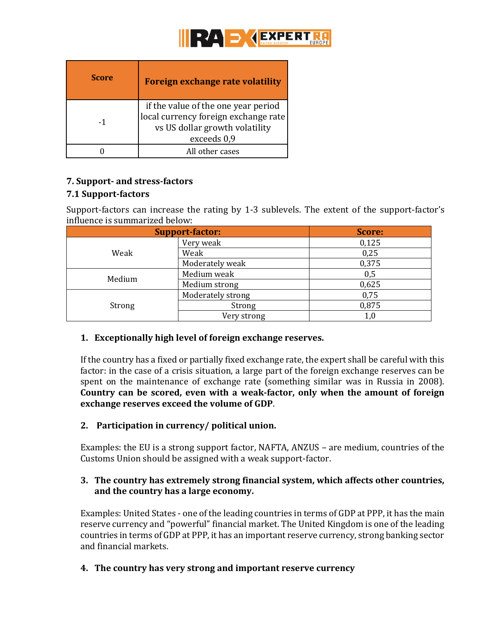<span id="page-38-0"></span>

| <b>Score</b> | <b>Foreign exchange rate volatility</b>                                                                                      |
|--------------|------------------------------------------------------------------------------------------------------------------------------|
| -1           | if the value of the one year period<br>local currency foreign exchange rate<br>vs US dollar growth volatility<br>exceeds 0,9 |
|              | All other cases                                                                                                              |

# <span id="page-38-1"></span>**7. Support- and stress-factors**

#### <span id="page-38-2"></span>**7.1 Support-factors**

Support-factors can increase the rating by 1-3 sublevels. The extent of the support-factor's influence is summarized below:

|        | <b>Support-factor:</b> | Score: |
|--------|------------------------|--------|
| Weak   | Very weak              | 0,125  |
|        | Weak                   | 0,25   |
|        | Moderately weak        | 0,375  |
| Medium | Medium weak            | 0,5    |
|        | Medium strong          | 0,625  |
|        | Moderately strong      | 0,75   |
| Strong | Strong                 | 0,875  |
|        | Very strong            | 1,0    |

# **1. Exceptionally high level of foreign exchange reserves.**

If the country has a fixed or partially fixed exchange rate, the expert shall be careful with this factor: in the case of a crisis situation, a large part of the foreign exchange reserves can be spent on the maintenance of exchange rate (something similar was in Russia in 2008). **Country can be scored, even with a weak-factor, only when the amount of foreign exchange reserves exceed the volume of GDP**.

# **2. Participation in currency/ political union.**

Examples: the EU is a strong support factor, NAFTA, ANZUS – are medium, countries of the Customs Union should be assigned with a weak support-factor.

#### **3. The country has extremely strong financial system, which affects other countries, and the country has a large economy.**

Examples: United States - one of the leading countries in terms of GDP at PPP, it has the main reserve currency and "powerful" financial market. The United Kingdom is one of the leading countries in terms of GDP at PPP, it has an important reserve currency, strong banking sector and financial markets.

# **4. The country has very strong and important reserve currency**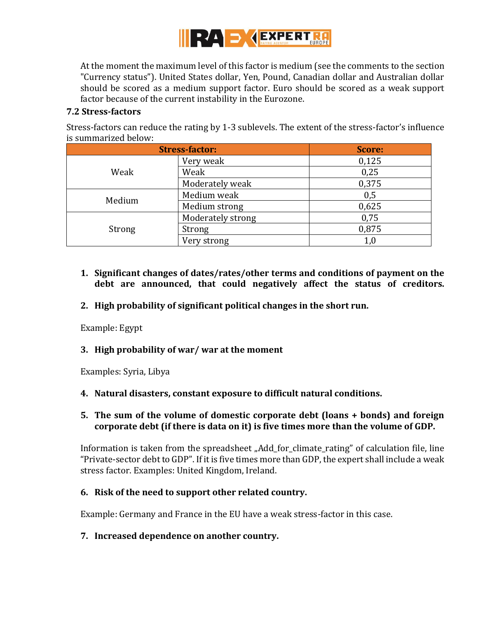

At the moment the maximum level of this factor is medium (see the comments to the section "Currency status"). United States dollar, Yen, Pound, Canadian dollar and Australian dollar should be scored as a medium support factor. Euro should be scored as a weak support factor because of the current instability in the Eurozone.

#### <span id="page-39-0"></span>**7.2 Stress-factors**

Stress-factors can reduce the rating by 1-3 sublevels. The extent of the stress-factor's influence is summarized below:

|        | <b>Stress-factor:</b> | Score:  |
|--------|-----------------------|---------|
| Weak   | Very weak             | 0,125   |
|        | Weak                  | 0,25    |
|        | Moderately weak       | 0,375   |
| Medium | Medium weak           | 0,5     |
|        | Medium strong         | 0,625   |
| Strong | Moderately strong     | 0,75    |
|        | Strong                | 0,875   |
|        | Very strong           | $1{,}0$ |

- **1. Significant changes of dates/rates/other terms and conditions of payment on the debt are announced, that could negatively affect the status of creditors.**
- **2. High probability of significant political changes in the short run.**

Example: Egypt

#### **3. High probability of war/ war at the moment**

Examples: Syria, Libya

**4. Natural disasters, constant exposure to difficult natural conditions.**

#### **5. The sum of the volume of domestic corporate debt (loans + bonds) and foreign corporate debt (if there is data on it) is five times more than the volume of GDP.**

Information is taken from the spreadsheet "Add for climate rating" of calculation file, line "Private-sector debt to GDP". If it is five times more than GDP, the expert shall include a weak stress factor. Examples: United Kingdom, Ireland.

# **6. Risk of the need to support other related country.**

Example: Germany and France in the EU have a weak stress-factor in this case.

# **7. Increased dependence on another country.**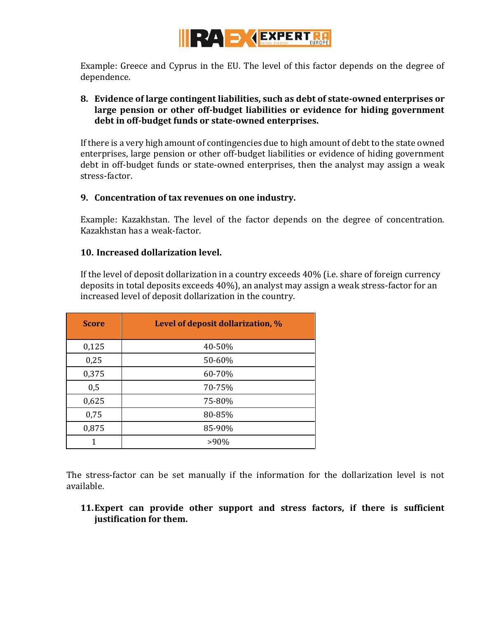

Example: Greece and Cyprus in the EU. The level of this factor depends on the degree of dependence.

#### **8. Evidence of large contingent liabilities, such as debt of state-owned enterprises or large pension or other off-budget liabilities or evidence for hiding government debt in off-budget funds or state-owned enterprises.**

If there is a very high amount of contingencies due to high amount of debt to the state owned enterprises, large pension or other off-budget liabilities or evidence of hiding government debt in off-budget funds or state-owned enterprises, then the analyst may assign a weak stress-factor.

#### **9. Concentration of tax revenues on one industry.**

Example: Kazakhstan. The level of the factor depends on the degree of concentration. Kazakhstan has a weak-factor.

#### **10. Increased dollarization level.**

If the level of deposit dollarization in a country exceeds 40% (i.e. share of foreign currency deposits in total deposits exceeds 40%), an analyst may assign a weak stress-factor for an increased level of deposit dollarization in the country.

| <b>Score</b> | Level of deposit dollarization, % |
|--------------|-----------------------------------|
| 0,125        | 40-50%                            |
| 0,25         | 50-60%                            |
| 0,375        | 60-70%                            |
| 0,5          | 70-75%                            |
| 0,625        | 75-80%                            |
| 0,75         | 80-85%                            |
| 0,875        | 85-90%                            |
| 1            | $>90\%$                           |

The stress-factor can be set manually if the information for the dollarization level is not available.

**11.Expert can provide other support and stress factors, if there is sufficient justification for them.**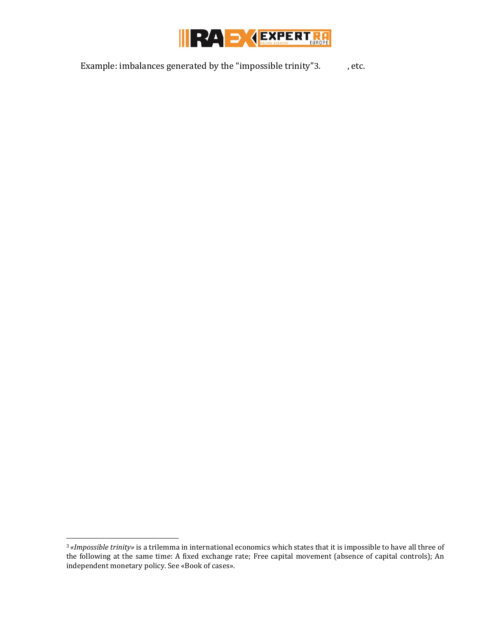

Example: imbalances generated by the "impossible trinity"3.  $\qquad \qquad$ , etc.

 $\overline{a}$ 

<sup>3</sup> *«Impossible trinity»* is a trilemma in international economics which states that it is impossible to have all three of the following at the same time: A fixed exchange rate; Free capital movement (absence of capital controls); An independent monetary policy. See «Book of cases».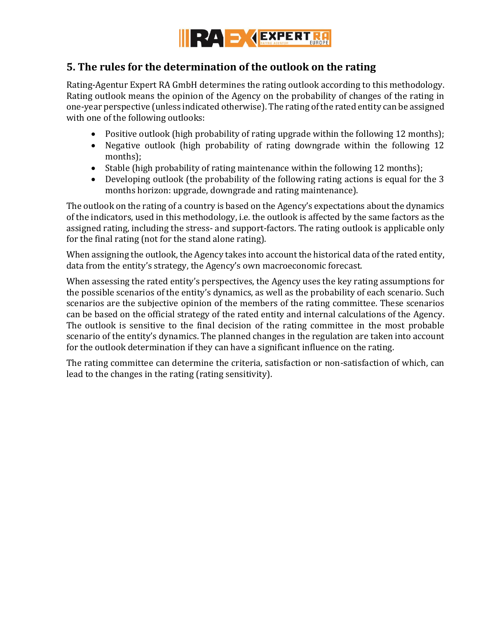

# <span id="page-42-0"></span>**5. The rules for the determination of the outlook on the rating**

Rating-Agentur Expert RA GmbH determines the rating outlook according to this methodology. Rating outlook means the opinion of the Agency on the probability of changes of the rating in one-year perspective (unless indicated otherwise). The rating of the rated entity can be assigned with one of the following outlooks:

- Positive outlook (high probability of rating upgrade within the following 12 months);
- Negative outlook (high probability of rating downgrade within the following 12 months);
- Stable (high probability of rating maintenance within the following 12 months);
- Developing outlook (the probability of the following rating actions is equal for the 3 months horizon: upgrade, downgrade and rating maintenance).

The outlook on the rating of a country is based on the Agency's expectations about the dynamics of the indicators, used in this methodology, i.e. the outlook is affected by the same factors as the assigned rating, including the stress- and support-factors. The rating outlook is applicable only for the final rating (not for the stand alone rating).

When assigning the outlook, the Agency takes into account the historical data of the rated entity, data from the entity's strategy, the Agency's own macroeconomic forecast.

When assessing the rated entity's perspectives, the Agency uses the key rating assumptions for the possible scenarios of the entity's dynamics, as well as the probability of each scenario. Such scenarios are the subjective opinion of the members of the rating committee. These scenarios can be based on the official strategy of the rated entity and internal calculations of the Agency. The outlook is sensitive to the final decision of the rating committee in the most probable scenario of the entity's dynamics. The planned changes in the regulation are taken into account for the outlook determination if they can have a significant influence on the rating.

The rating committee can determine the criteria, satisfaction or non-satisfaction of which, can lead to the changes in the rating (rating sensitivity).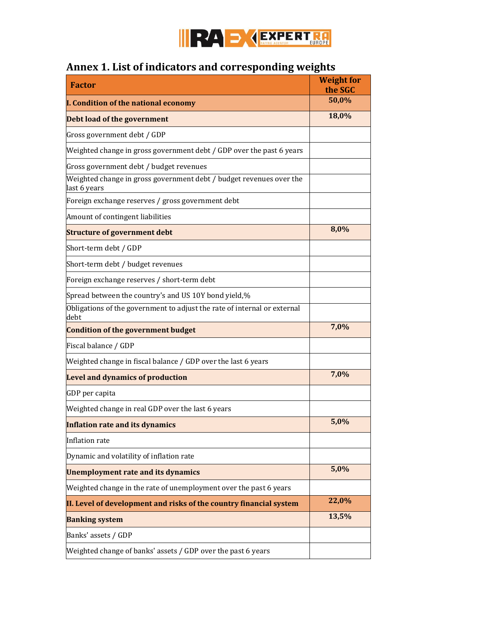

# <span id="page-43-0"></span>**Annex 1. List of indicators and corresponding weights**

| <b>Factor</b>                                                                       | <b>Weight for</b><br>the SGC |  |
|-------------------------------------------------------------------------------------|------------------------------|--|
| I. Condition of the national economy                                                | 50,0%                        |  |
| Debt load of the government                                                         | 18,0%                        |  |
| Gross government debt / GDP                                                         |                              |  |
| Weighted change in gross government debt / GDP over the past 6 years                |                              |  |
| Gross government debt / budget revenues                                             |                              |  |
| Weighted change in gross government debt / budget revenues over the<br>last 6 years |                              |  |
| Foreign exchange reserves / gross government debt                                   |                              |  |
| Amount of contingent liabilities                                                    |                              |  |
| <b>Structure of government debt</b>                                                 | 8,0%                         |  |
| Short-term debt / GDP                                                               |                              |  |
| Short-term debt / budget revenues                                                   |                              |  |
| Foreign exchange reserves / short-term debt                                         |                              |  |
| Spread between the country's and US 10Y bond yield,%                                |                              |  |
| Obligations of the government to adjust the rate of internal or external<br>debt    |                              |  |
| <b>Condition of the government budget</b>                                           | 7,0%                         |  |
| Fiscal balance / GDP                                                                |                              |  |
| Weighted change in fiscal balance / GDP over the last 6 years                       |                              |  |
| <b>Level and dynamics of production</b>                                             | 7,0%                         |  |
| GDP per capita                                                                      |                              |  |
| Weighted change in real GDP over the last 6 years                                   |                              |  |
| <b>Inflation rate and its dynamics</b>                                              | 5,0%                         |  |
| Inflation rate                                                                      |                              |  |
| Dynamic and volatility of inflation rate                                            |                              |  |
| <b>Unemployment rate and its dynamics</b>                                           | 5,0%                         |  |
| Weighted change in the rate of unemployment over the past 6 years                   |                              |  |
| II. Level of development and risks of the country financial system                  | 22,0%                        |  |
| <b>Banking system</b>                                                               | 13,5%                        |  |
| Banks' assets / GDP                                                                 |                              |  |
| Weighted change of banks' assets / GDP over the past 6 years                        |                              |  |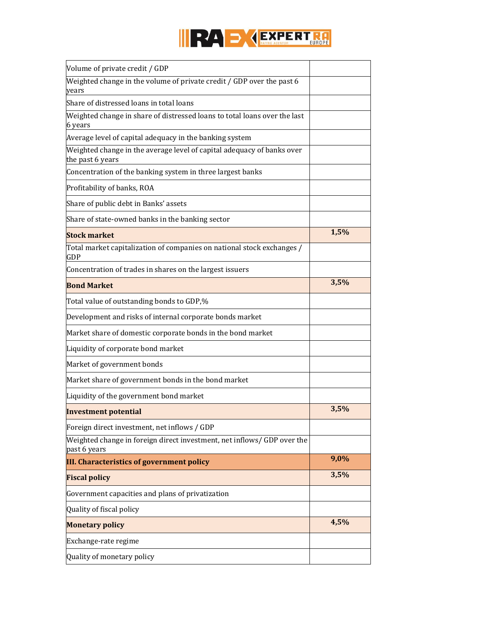

| Volume of private credit / GDP                                                             |      |
|--------------------------------------------------------------------------------------------|------|
| Weighted change in the volume of private credit / GDP over the past 6<br>vears             |      |
| Share of distressed loans in total loans                                                   |      |
| Weighted change in share of distressed loans to total loans over the last<br>6 years       |      |
| Average level of capital adequacy in the banking system                                    |      |
| Weighted change in the average level of capital adequacy of banks over<br>the past 6 years |      |
| Concentration of the banking system in three largest banks                                 |      |
| Profitability of banks, ROA                                                                |      |
| Share of public debt in Banks' assets                                                      |      |
| Share of state-owned banks in the banking sector                                           |      |
| <b>Stock market</b>                                                                        | 1,5% |
| Total market capitalization of companies on national stock exchanges /<br><b>GDP</b>       |      |
| Concentration of trades in shares on the largest issuers                                   |      |
| <b>Bond Market</b>                                                                         | 3,5% |
| Total value of outstanding bonds to GDP,%                                                  |      |
| Development and risks of internal corporate bonds market                                   |      |
| Market share of domestic corporate bonds in the bond market                                |      |
| Liquidity of corporate bond market                                                         |      |
| Market of government bonds                                                                 |      |
| Market share of government bonds in the bond market                                        |      |
| Liquidity of the government bond market                                                    |      |
| <b>Investment potential</b>                                                                | 3,5% |
| Foreign direct investment, net inflows / GDP                                               |      |
| Weighted change in foreign direct investment, net inflows/ GDP over the<br>past 6 years    |      |
| <b>III. Characteristics of government policy</b>                                           | 9,0% |
| <b>Fiscal policy</b>                                                                       | 3,5% |
| Government capacities and plans of privatization                                           |      |
| Quality of fiscal policy                                                                   |      |
| <b>Monetary policy</b>                                                                     | 4,5% |
| Exchange-rate regime                                                                       |      |
| Quality of monetary policy                                                                 |      |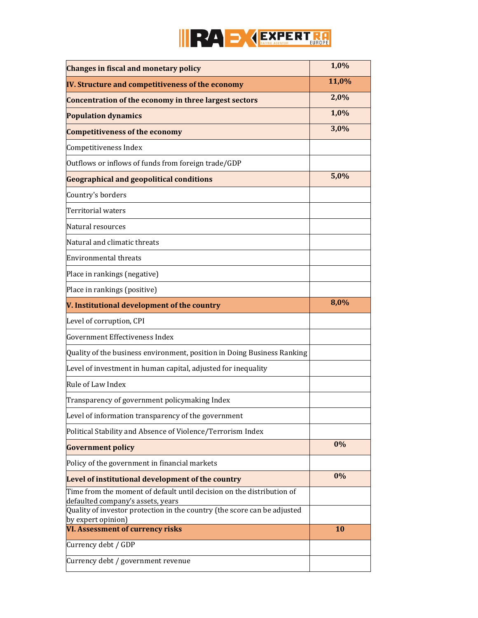

| <b>Changes in fiscal and monetary policy</b>                                                               | 1,0%  |
|------------------------------------------------------------------------------------------------------------|-------|
| IV. Structure and competitiveness of the economy                                                           | 11,0% |
| Concentration of the economy in three largest sectors                                                      | 2,0%  |
| <b>Population dynamics</b>                                                                                 | 1,0%  |
| <b>Competitiveness of the economy</b>                                                                      | 3,0%  |
| Competitiveness Index                                                                                      |       |
| Outflows or inflows of funds from foreign trade/GDP                                                        |       |
| <b>Geographical and geopolitical conditions</b>                                                            | 5,0%  |
| Country's borders                                                                                          |       |
| Territorial waters                                                                                         |       |
| Natural resources                                                                                          |       |
| Natural and climatic threats                                                                               |       |
| <b>Environmental threats</b>                                                                               |       |
| Place in rankings (negative)                                                                               |       |
| Place in rankings (positive)                                                                               |       |
| V. Institutional development of the country                                                                | 8,0%  |
| Level of corruption, CPI                                                                                   |       |
| Government Effectiveness Index                                                                             |       |
| Quality of the business environment, position in Doing Business Ranking                                    |       |
| Level of investment in human capital, adjusted for inequality                                              |       |
| Rule of Law Index                                                                                          |       |
| Transparency of government policymaking Index                                                              |       |
| Level of information transparency of the government                                                        |       |
| Political Stability and Absence of Violence/Terrorism Index                                                |       |
| <b>Government policy</b>                                                                                   | 0%    |
| Policy of the government in financial markets                                                              |       |
| Level of institutional development of the country                                                          | 0%    |
| Time from the moment of default until decision on the distribution of<br>defaulted company's assets, years |       |
| Quality of investor protection in the country (the score can be adjusted                                   |       |
| by expert opinion)<br><b>VI. Assessment of currency risks</b>                                              | 10    |
| Currency debt / GDP                                                                                        |       |
| Currency debt / government revenue                                                                         |       |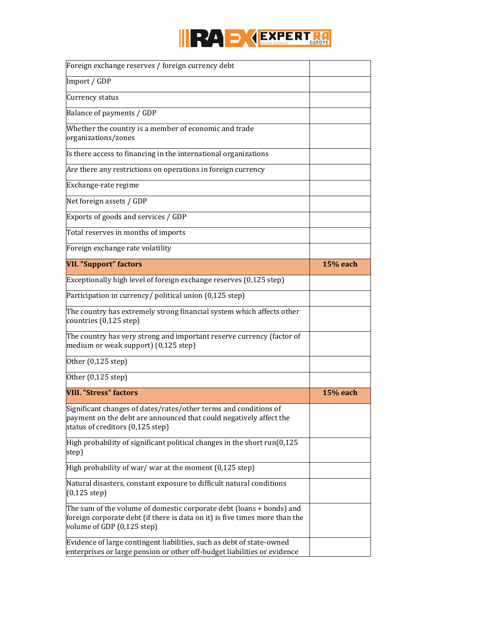

| Foreign exchange reserves / foreign currency debt                                                                                                                                 |                 |
|-----------------------------------------------------------------------------------------------------------------------------------------------------------------------------------|-----------------|
| Import / GDP                                                                                                                                                                      |                 |
| Currency status                                                                                                                                                                   |                 |
| Balance of payments / GDP                                                                                                                                                         |                 |
| Whether the country is a member of economic and trade<br>organizations/zones                                                                                                      |                 |
| Is there access to financing in the international organizations                                                                                                                   |                 |
| Are there any restrictions on operations in foreign currency                                                                                                                      |                 |
| Exchange-rate regime                                                                                                                                                              |                 |
| Net foreign assets / GDP                                                                                                                                                          |                 |
| Exports of goods and services / GDP                                                                                                                                               |                 |
| Total reserves in months of imports                                                                                                                                               |                 |
| Foreign exchange rate volatility                                                                                                                                                  |                 |
| <b>VII. "Support" factors</b>                                                                                                                                                     | <b>15% each</b> |
| Exceptionally high level of foreign exchange reserves (0,125 step)                                                                                                                |                 |
| Participation in currency/ political union (0,125 step)                                                                                                                           |                 |
| The country has extremely strong financial system which affects other<br>countries (0,125 step)                                                                                   |                 |
| The country has very strong and important reserve currency (factor of<br>medium or weak support) (0,125 step)                                                                     |                 |
| Other (0,125 step)                                                                                                                                                                |                 |
| Other (0,125 step)                                                                                                                                                                |                 |
| <b>VIII. "Stress" factors</b>                                                                                                                                                     | <b>15% each</b> |
| Significant changes of dates/rates/other terms and conditions of<br>payment on the debt are announced that could negatively affect the<br>status of creditors (0,125 step)        |                 |
| High probability of significant political changes in the short $run(0,125)$<br>step)                                                                                              |                 |
| High probability of war/ war at the moment $(0,125 \text{ step})$                                                                                                                 |                 |
| Natural disasters, constant exposure to difficult natural conditions<br>$(0,125$ step)                                                                                            |                 |
| The sum of the volume of domestic corporate debt (loans + bonds) and<br>foreign corporate debt (if there is data on it) is five times more than the<br>volume of GDP (0,125 step) |                 |
| Evidence of large contingent liabilities, such as debt of state-owned<br>enterprises or large pension or other off-budget liabilities or evidence                                 |                 |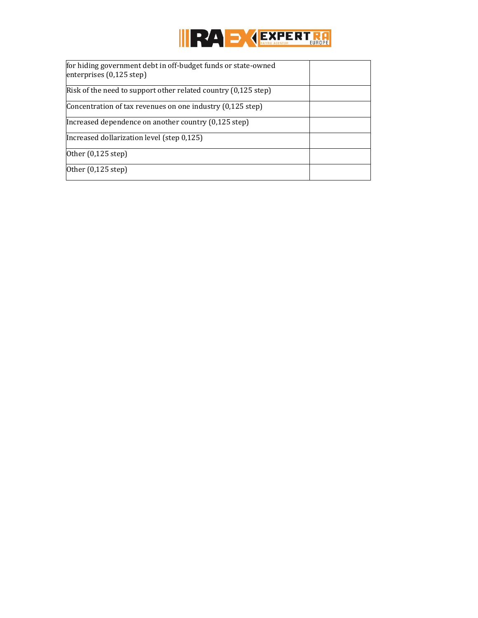

| for hiding government debt in off-budget funds or state-owned<br>enterprises $(0,125 \text{ step})$ |  |
|-----------------------------------------------------------------------------------------------------|--|
| Risk of the need to support other related country (0,125 step)                                      |  |
| Concentration of tax revenues on one industry (0,125 step)                                          |  |
| Increased dependence on another country (0,125 step)                                                |  |
| Increased dollarization level (step 0,125)                                                          |  |
| Other (0,125 step)                                                                                  |  |
| Other (0,125 step)                                                                                  |  |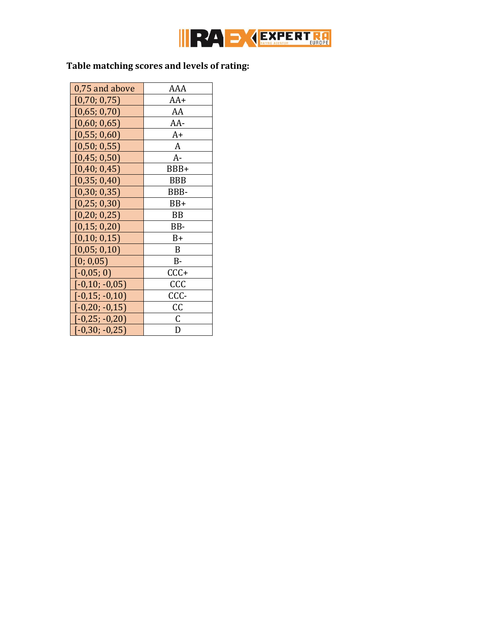

# **Table matching scores and levels of rating:**

| 0,75 and above             | AAA        |  |  |
|----------------------------|------------|--|--|
| [0,70; 0,75]               | $AA+$      |  |  |
| [0,65; 0,70]               | AA         |  |  |
| [0,60; 0,65]               | AA-        |  |  |
| [0,55; 0,60]               | $A+$       |  |  |
| [0,50; 0,55]               | A          |  |  |
| [0,45; 0,50]               | $A-$       |  |  |
| [0,40; 0,45]               | BBB+       |  |  |
| [0,35; 0,40]               | <b>BBB</b> |  |  |
| [0,30; 0,35]               | BBB-       |  |  |
| [0,25; 0,30]               | $BB+$      |  |  |
| [0,20; 0,25]               | <b>BB</b>  |  |  |
| [0, 15; 0, 20]<br>BB-      |            |  |  |
| [0,10; 0,15]               | $B+$       |  |  |
| [0,05; 0,10]               | B          |  |  |
| [0; 0, 05]                 | <b>B-</b>  |  |  |
| $[-0.05; 0]$<br>$CCC +$    |            |  |  |
| CCC<br>$[-0,10; -0,05]$    |            |  |  |
| $[-0, 15, -0, 10]$<br>CCC- |            |  |  |
| $[-0,20; -0,15]$           | СC         |  |  |
| $[-0,25; -0,20]$           | C          |  |  |
| $[-0,30; -0,25]$           | D          |  |  |